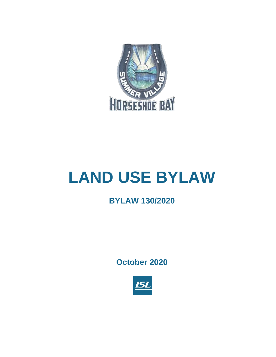

# **LAND USE BYLAW**

# **BYLAW 130/2020**

**October 2020**

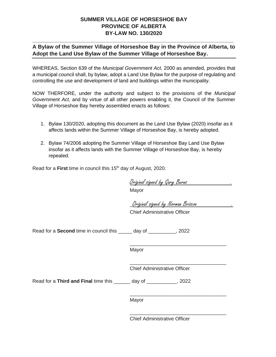## **SUMMER VILLAGE OF HORSESHOE BAY PROVINCE OF ALBERTA BY-LAW NO. 130/2020**

## **A Bylaw of the Summer Village of Horseshoe Bay in the Province of Alberta, to Adopt the Land Use Bylaw of the Summer Village of Horseshoe Bay.**

**\_\_\_\_\_\_\_\_\_\_\_\_\_\_\_\_\_\_\_\_\_\_\_\_\_\_\_\_\_\_\_\_\_\_\_\_\_\_\_\_\_\_\_\_\_\_\_\_\_\_\_\_\_\_\_\_\_\_\_\_\_\_\_\_\_\_\_**

WHEREAS, Section 639 of the *Municipal Government Act*, 2000 as amended, provides that a municipal council shall, by bylaw, adopt a Land Use Bylaw for the purpose of regulating and controlling the use and development of land and buildings within the municipality.

NOW THERFORE, under the authority and subject to the provisions of the *Municipal Government Act*, and by virtue of all other powers enabling it, the Council of the Summer Village of Horseshoe Bay hereby assembled enacts as follows:

- 1. Bylaw 130/2020, adopting this document as the Land Use Bylaw (2020) insofar as it affects lands within the Summer Village of Horseshoe Bay, is hereby adopted.
- 2. Bylaw 74/2006 adopting the Summer Village of Horseshoe Bay Land Use Bylaw insofar as it affects lands with the Summer Village of Horseshoe Bay, is hereby repealed.

Read for a **First** time in council this 15<sup>th</sup> day of August, 2020.

Original signed by Gary Burns .

Mayor

\_Original signed by Norman Briscoe .

\_\_\_\_\_\_\_\_\_\_\_\_\_\_\_\_\_\_\_\_\_\_\_\_\_\_\_\_\_\_\_\_\_\_\_

\_\_\_\_\_\_\_\_\_\_\_\_\_\_\_\_\_\_\_\_\_\_\_\_\_\_\_\_\_\_\_\_\_\_\_

\_\_\_\_\_\_\_\_\_\_\_\_\_\_\_\_\_\_\_\_\_\_\_\_\_\_\_\_\_\_\_\_\_\_\_

Chief Administrative Officer

Read for a **Second** time in council this \_\_\_\_\_ day of \_\_\_\_\_\_\_\_\_\_, 2022

Mayor

\_\_\_\_\_\_\_\_\_\_\_\_\_\_\_\_\_\_\_\_\_\_\_\_\_\_\_\_\_\_\_\_\_\_\_ Chief Administrative Officer

Read for a **Third and Final** time this \_\_\_\_\_\_ day of \_\_\_\_\_\_\_\_\_\_\_, 2022

Mayor

Chief Administrative Officer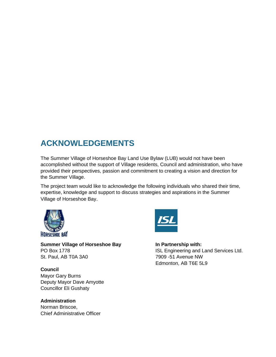# **ACKNOWLEDGEMENTS**

The Summer Village of Horseshoe Bay Land Use Bylaw (LUB) would not have been accomplished without the support of Village residents, Council and administration, who have provided their perspectives, passion and commitment to creating a vision and direction for the Summer Village.

The project team would like to acknowledge the following individuals who shared their time, expertise, knowledge and support to discuss strategies and aspirations in the Summer Village of Horseshoe Bay.



**Summer Village of Horseshoe Bay State 10 are September 2016** In Partnership with: St. Paul, AB T0A 3A0 7909 -51 Avenue NW

**Council** Mayor Gary Burns Deputy Mayor Dave Amyotte Councillor Eli Gushaty

## **Administration** Norman Briscoe,

Chief Administrative Officer



PO Box 1778 **ISL Engineering and Land Services Ltd.** Edmonton, AB T6E 5L9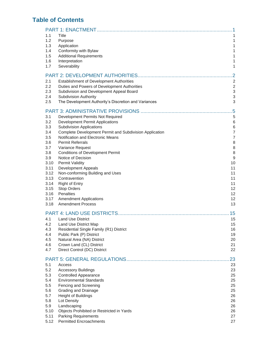## **Table of Contents**

| 1.1  | <b>Title</b>                                            | 1                         |
|------|---------------------------------------------------------|---------------------------|
| 1.2  | Purpose                                                 | $\mathbf{1}$              |
| 1.3  | Application                                             | $\mathbf{1}$              |
| 1.4  | Conformity with Bylaw                                   | 1                         |
| 1.5  | <b>Additional Requirements</b>                          | $\mathbf{1}$              |
| 1.6  | Interpretation                                          | 1                         |
| 1.7  | Severability                                            | $\mathbf{1}$              |
|      |                                                         |                           |
|      |                                                         |                           |
| 2.1  | Establishment of Development Authorities                | $\overline{2}$            |
| 2.2  | Duties and Powers of Development Authorities            | $\overline{2}$            |
| 2.3  | Subdivision and Development Appeal Board                | $\ensuremath{\mathsf{3}}$ |
| 2.4  | Subdivision Authority                                   | 3                         |
| 2.5  | The Development Authority's Discretion and Variances    | 3                         |
|      |                                                         | 5                         |
| 3.1  | Development Permits Not Required                        | 5                         |
| 3.2  | <b>Development Permit Applications</b>                  | $\,6\,$                   |
| 3.3  | <b>Subdivision Applications</b>                         | $\,6$                     |
| 3.4  | Complete Development Permit and Subdivision Application | $\overline{7}$            |
| 3.5  | Notification and Electronic Means                       | $\overline{7}$            |
| 3.6  | <b>Permit Referrals</b>                                 | 8                         |
| 3.7  | Variance Request                                        | 8                         |
| 3.8  | <b>Conditions of Development Permit</b>                 | 8                         |
| 3.9  | Notice of Decision                                      | 9                         |
| 3.10 | <b>Permit Validity</b>                                  | 10                        |
| 3.11 | <b>Development Appeals</b>                              | 11                        |
| 3.12 | Non-conforming Building and Uses                        | 11                        |
| 3.13 | Contravention                                           | 11                        |
| 3.14 | <b>Right of Entry</b>                                   | 11                        |
| 3.15 | <b>Stop Orders</b>                                      | 12                        |
| 3.16 | <b>Penalties</b>                                        | 12                        |
| 3.17 | <b>Amendment Applications</b>                           | 12                        |
| 3.18 | <b>Amendment Process</b>                                | 13                        |
|      |                                                         |                           |
|      |                                                         | 15                        |
| 4.1  | <b>Land Use District</b>                                | 15                        |
| 4.2  | Land Use District Map                                   | 15                        |
| 4.3  | Residential Single Family (R1) District                 | 16                        |
| 4.4  | Public Park (P) District                                | 19                        |
| 4.5  | Natural Area (NA) District                              | 20                        |
| 4.6  | Crown Land (CL) District                                | 21                        |
| 4.7  | Direct Control (DC) District                            | 22                        |
|      |                                                         | 23                        |
| 5.1  | Access                                                  | 23                        |
| 5.2  | <b>Accessory Buildings</b>                              | 23                        |
| 5.3  | <b>Controlled Appearance</b>                            | 25                        |
| 5.4  | <b>Environmental Standards</b>                          | 25                        |
| 5.5  | Fencing and Screening                                   | 25                        |
| 5.6  | Grading and Drainage                                    | 25                        |
| 5.7  | <b>Height of Buildings</b>                              | 26                        |
| 5.8  | Lot Density                                             | 26                        |
| 5.9  | Landscaping                                             | 26                        |
| 5.10 | Objects Prohibited or Restricted in Yards               | 26                        |
| 5.11 | <b>Parking Requirements</b>                             | 27                        |
| 5.12 | <b>Permitted Encroachments</b>                          | 27                        |
|      |                                                         |                           |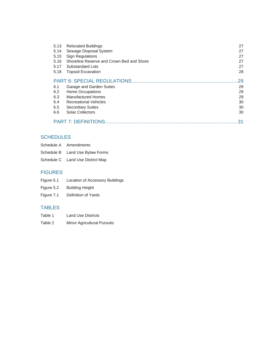| 5.13 | <b>Relocated Buildings</b>                | 27 |
|------|-------------------------------------------|----|
| 5.14 | Sewage Disposal System                    | 27 |
| 5.15 | <b>Sign Regulations</b>                   | 27 |
| 5.16 | Shoreline Reserve and Crown Bed and Shore | 27 |
| 5.17 | Substandard Lots                          | 27 |
| 5.18 | <b>Topsoil Excavation</b>                 | 28 |
|      |                                           | 29 |
| 6.1  | Garage and Garden Suites                  | 29 |
| 6.2  | Home Occupations                          | 29 |
| 6.3  | <b>Manufactured Homes</b>                 | 29 |
| 6.4  | <b>Recreational Vehicles</b>              | 30 |
| 6.5  | <b>Secondary Suites</b>                   | 30 |
| 6.6  | Solar Collectors                          | 30 |
|      | <b>PART 7: DEFINITIONS</b>                | 31 |

## **SCHEDULES**

| Schedule A Amendments            |
|----------------------------------|
| Schedule B Land Use Bylaw Forms  |
| Schedule C Land Use District Map |

## FIGURES

| Figure 5.1 | Location of Accessory Buildings |  |
|------------|---------------------------------|--|
|            |                                 |  |
|            |                                 |  |

- Figure 5.2 Building Height
- Figure 7.1 Definition of Yards

## TABLES

Table 2 Minor Agricultural Pursuits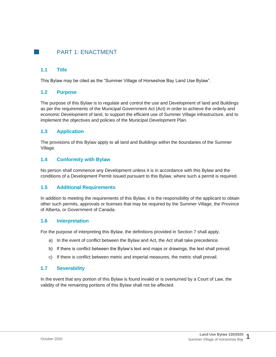## <span id="page-6-0"></span>**PART 1: ENACTMENT**

## <span id="page-6-1"></span>**1.1 Title**

This Bylaw may be cited as the "Summer Village of Horseshoe Bay Land Use Bylaw".

## <span id="page-6-2"></span>**1.2 Purpose**

The purpose of this Bylaw is to regulate and control the use and Development of land and Buildings as per the requirements of the Municipal Government Act (Act) in order to achieve the orderly and economic Development of land, to support the efficient use of Summer Village infrastructure, and to implement the objectives and policies of the Municipal Development Plan.

## <span id="page-6-3"></span>**1.3 Application**

The provisions of this Bylaw apply to all land and Buildings within the boundaries of the Summer Village.

## <span id="page-6-4"></span>**1.4 Conformity with Bylaw**

No person shall commence any Development unless it is in accordance with this Bylaw and the conditions of a Development Permit issued pursuant to this Bylaw, where such a permit is required.

## <span id="page-6-5"></span>**1.5 Additional Requirements**

In addition to meeting the requirements of this Bylaw, it is the responsibility of the applicant to obtain other such permits, approvals or licenses that may be required by the Summer Village, the Province of Alberta, or Government of Canada.

## <span id="page-6-6"></span>**1.6 Interpretation**

For the purpose of interpreting this Bylaw, the definitions provided in Section 7 shall apply.

- a) In the event of conflict between the Bylaw and Act, the Act shall take precedence.
- b) If there is conflict between the Bylaw's text and maps or drawings, the text shall prevail.
- c) If there is conflict between metric and imperial measures, the metric shall prevail.

## <span id="page-6-7"></span>**1.7 Severability**

In the event that any portion of this Bylaw is found invalid or is overturned by a Court of Law, the validity of the remaining portions of this Bylaw shall not be affected.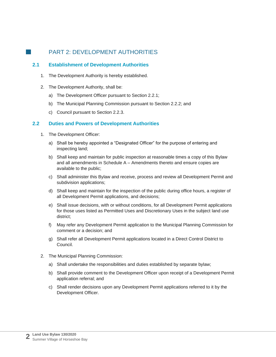## <span id="page-7-0"></span>**PART 2: DEVELOPMENT AUTHORITIES**

## <span id="page-7-1"></span>**2.1 Establishment of Development Authorities**

- 1. The Development Authority is hereby established.
- 2. The Development Authority, shall be:
	- a) The Development Officer pursuant to Section 2.2.1;
	- b) The Municipal Planning Commission pursuant to Section 2.2.2; and
	- c) Council pursuant to Section 2.2.3.

## <span id="page-7-2"></span>**2.2 Duties and Powers of Development Authorities**

- 1. The Development Officer:
	- a) Shall be hereby appointed a "Designated Officer" for the purpose of entering and inspecting land;
	- b) Shall keep and maintain for public inspection at reasonable times a copy of this Bylaw and all amendments in Schedule A – Amendments thereto and ensure copies are available to the public;
	- c) Shall administer this Bylaw and receive, process and review all Development Permit and subdivision applications;
	- d) Shall keep and maintain for the inspection of the public during office hours, a register of all Development Permit applications, and decisions;
	- e) Shall issue decisions, with or without conditions, for all Development Permit applications for those uses listed as Permitted Uses and Discretionary Uses in the subject land use district;
	- f) May refer any Development Permit application to the Municipal Planning Commission for comment or a decision; and
	- g) Shall refer all Development Permit applications located in a Direct Control District to Council.
- 2. The Municipal Planning Commission:
	- a) Shall undertake the responsibilities and duties established by separate bylaw;
	- b) Shall provide comment to the Development Officer upon receipt of a Development Permit application referral; and
	- c) Shall render decisions upon any Development Permit applications referred to it by the Development Officer.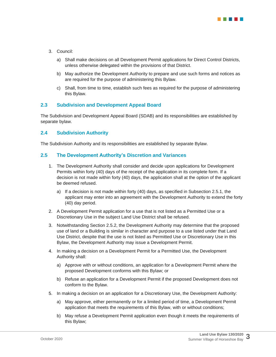

- 3. Council:
	- a) Shall make decisions on all Development Permit applications for Direct Control Districts, unless otherwise delegated within the provisions of that District.
	- b) May authorize the Development Authority to prepare and use such forms and notices as are required for the purpose of administering this Bylaw.
	- c) Shall, from time to time, establish such fees as required for the purpose of administering this Bylaw.

#### <span id="page-8-0"></span>**2.3 Subdivision and Development Appeal Board**

The Subdivision and Development Appeal Board (SDAB) and its responsibilities are established by separate bylaw.

#### <span id="page-8-1"></span>**2.4 Subdivision Authority**

The Subdivision Authority and its responsibilities are established by separate Bylaw.

#### <span id="page-8-2"></span>**2.5 The Development Authority's Discretion and Variances**

- 1. The Development Authority shall consider and decide upon applications for Development Permits within forty (40) days of the receipt of the application in its complete form. If a decision is not made within forty (40) days, the application shall at the option of the applicant be deemed refused.
	- a) If a decision is not made within forty (40) days, as specified in Subsection 2.5.1, the applicant may enter into an agreement with the Development Authority to extend the forty (40) day period.
- 2. A Development Permit application for a use that is not listed as a Permitted Use or a Discretionary Use in the subject Land Use District shall be refused.
- 3. Notwithstanding Section 2.5.2, the Development Authority may determine that the proposed use of land or a Building is similar in character and purpose to a use listed under that Land Use District, despite that the use is not listed as Permitted Use or Discretionary Use in this Bylaw, the Development Authority may issue a Development Permit.
- 4. In making a decision on a Development Permit for a Permitted Use, the Development Authority shall:
	- a) Approve with or without conditions, an application for a Development Permit where the proposed Development conforms with this Bylaw; or
	- b) Refuse an application for a Development Permit if the proposed Development does not conform to the Bylaw.
- 5. In making a decision on an application for a Discretionary Use, the Development Authority:
	- a) May approve, either permanently or for a limited period of time, a Development Permit application that meets the requirements of this Bylaw, with or without conditions;
	- b) May refuse a Development Permit application even though it meets the requirements of this Bylaw;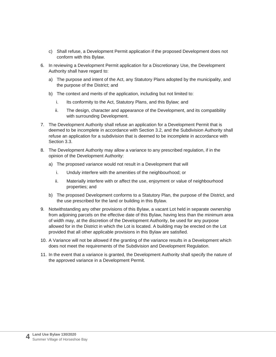- c) Shall refuse, a Development Permit application if the proposed Development does not conform with this Bylaw.
- 6. In reviewing a Development Permit application for a Discretionary Use, the Development Authority shall have regard to:
	- a) The purpose and intent of the Act, any Statutory Plans adopted by the municipality, and the purpose of the District; and
	- b) The context and merits of the application, including but not limited to:
		- i. Its conformity to the Act, Statutory Plans, and this Bylaw; and
		- ii. The design, character and appearance of the Development, and its compatibility with surrounding Development.
- 7. The Development Authority shall refuse an application for a Development Permit that is deemed to be incomplete in accordance with Section 3.2, and the Subdivision Authority shall refuse an application for a subdivision that is deemed to be incomplete in accordance with Section 3.3.
- 8. The Development Authority may allow a variance to any prescribed regulation, if in the opinion of the Development Authority:
	- a) The proposed variance would not result in a Development that will
		- i. Unduly interfere with the amenities of the neighbourhood; or
		- ii. Materially interfere with or affect the use, enjoyment or value of neighbourhood properties; and
	- b) The proposed Development conforms to a Statutory Plan, the purpose of the District, and the use prescribed for the land or building in this Bylaw.
- 9. Notwithstanding any other provisions of this Bylaw, a vacant Lot held in separate ownership from adjoining parcels on the effective date of this Bylaw, having less than the minimum area of width may, at the discretion of the Development Authority, be used for any purpose allowed for in the District in which the Lot is located. A building may be erected on the Lot provided that all other applicable provisions in this Bylaw are satisfied.
- 10. A Variance will not be allowed if the granting of the variance results in a Development which does not meet the requirements of the Subdivision and Development Regulation.
- 11. In the event that a variance is granted, the Development Authority shall specify the nature of the approved variance in a Development Permit.

**4**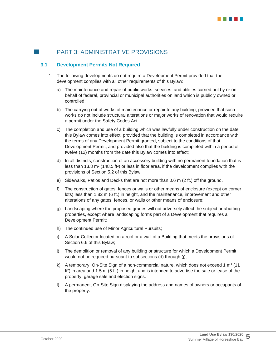## <span id="page-10-0"></span>**3.0** PART 3: ADMINISTRATIVE PROVISIONS

## <span id="page-10-1"></span>**3.1 Development Permits Not Required**

- 1. The following developments do not require a Development Permit provided that the development complies with all other requirements of this Bylaw:
	- a) The maintenance and repair of public works, services, and utilities carried out by or on behalf of federal, provincial or municipal authorities on land which is publicly owned or controlled;
	- b) The carrying out of works of maintenance or repair to any building, provided that such works do not include structural alterations or major works of renovation that would require a permit under the Safety Codes Act;
	- c) The completion and use of a building which was lawfully under construction on the date this Bylaw comes into effect, provided that the building is completed in accordance with the terms of any Development Permit granted, subject to the conditions of that Development Permit, and provided also that the building is completed within a period of twelve (12) months from the date this Bylaw comes into effect;
	- d) In all districts, construction of an accessory building with no permanent foundation that is less than 13.8 m² (148.5 ft²) or less in floor area, if the development complies with the provisions of Section 5.2 of this Bylaw;
	- e) Sidewalks, Patios and Decks that are not more than 0.6 m (2 ft.) off the ground.
	- f) The construction of gates, fences or walls or other means of enclosure (except on corner lots) less than 1.82 m (6 ft.) in height, and the maintenance, improvement and other alterations of any gates, fences, or walls or other means of enclosure;
	- g) Landscaping where the proposed grades will not adversely affect the subject or abutting properties, except where landscaping forms part of a Development that requires a Development Permit;
	- h) The continued use of Minor Agricultural Pursuits;
	- i) A Solar Collector located on a roof or a wall of a Building that meets the provisions of Section 6.6 of this Bylaw;
	- j) The demolition or removal of any building or structure for which a Development Permit would not be required pursuant to subsections (d) through (j);
	- k) A temporary, On-Site Sign of a non-commercial nature, which does not exceed 1 m² (11 ft²) in area and 1.5 m (5 ft.) in height and is intended to advertise the sale or lease of the property, garage sale and election signs.
	- l) A permanent, On-Site Sign displaying the address and names of owners or occupants of the property.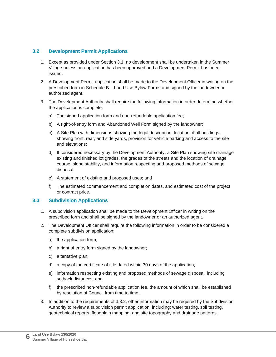## <span id="page-11-0"></span>**3.2 Development Permit Applications**

- 1. Except as provided under Section 3.1, no development shall be undertaken in the Summer Village unless an application has been approved and a Development Permit has been issued.
- 2. A Development Permit application shall be made to the Development Officer in writing on the prescribed form in Schedule B – Land Use Bylaw Forms and signed by the landowner or authorized agent.
- 3. The Development Authority shall require the following information in order determine whether the application is complete:
	- a) The signed application form and non-refundable application fee;
	- b) A right-of-entry form and Abandoned Well Form signed by the landowner;
	- c) A Site Plan with dimensions showing the legal description, location of all buildings, showing front, rear, and side yards, provision for vehicle parking and access to the site and elevations;
	- d) If considered necessary by the Development Authority, a Site Plan showing site drainage existing and finished lot grades, the grades of the streets and the location of drainage course, slope stability, and information respecting and proposed methods of sewage disposal;
	- e) A statement of existing and proposed uses; and
	- f) The estimated commencement and completion dates, and estimated cost of the project or contract price.

## <span id="page-11-1"></span>**3.3 Subdivision Applications**

- 1. A subdivision application shall be made to the Development Officer in writing on the prescribed form and shall be signed by the landowner or an authorized agent.
- 2. The Development Officer shall require the following information in order to be considered a complete subdivision application:
	- a) the application form;
	- b) a right of entry form signed by the landowner;
	- c) a tentative plan;
	- d) a copy of the certificate of title dated within 30 days of the application;
	- e) information respecting existing and proposed methods of sewage disposal, including setback distances; and
	- f) the prescribed non-refundable application fee, the amount of which shall be established by resolution of Council from time to time.
- 3. In addition to the requirements of 3.3.2, other information may be required by the Subdivision Authority to review a subdivision permit application, including: water testing, soil testing, geotechnical reports, floodplain mapping, and site topography and drainage patterns.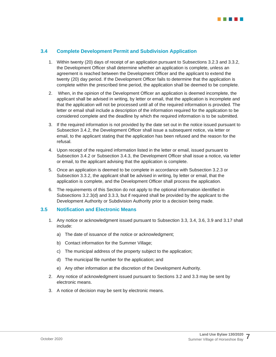

## <span id="page-12-0"></span>**3.4 Complete Development Permit and Subdivision Application**

- 1. Within twenty (20) days of receipt of an application pursuant to Subsections 3.2.3 and 3.3.2, the Development Officer shall determine whether an application is complete, unless an agreement is reached between the Development Officer and the applicant to extend the twenty (20) day period. If the Development Officer fails to determine that the application is complete within the prescribed time period, the application shall be deemed to be complete.
- 2. When, in the opinion of the Development Officer an application is deemed incomplete, the applicant shall be advised in writing, by letter or email, that the application is incomplete and that the application will not be processed until all of the required information is provided. The letter or email shall include a description of the information required for the application to be considered complete and the deadline by which the required information is to be submitted.
- 3. If the required information is not provided by the date set out in the notice issued pursuant to Subsection 3.4.2, the Development Officer shall issue a subsequent notice, via letter or email, to the applicant stating that the application has been refused and the reason for the refusal.
- 4. Upon receipt of the required information listed in the letter or email, issued pursuant to Subsection 3.4.2 or Subsection 3.4.3, the Development Officer shall issue a notice, via letter or email, to the applicant advising that the application is complete.
- 5. Once an application is deemed to be complete in accordance with Subsection 3.2.3 or Subsection 3.3.2, the applicant shall be advised in writing, by letter or email, that the application is complete, and the Development Officer shall process the application.
- 6. The requirements of this Section do not apply to the optional information identified in Subsections 3.2.3(d) and 3.3.3, but if required shall be provided by the applicant to the Development Authority or Subdivision Authority prior to a decision being made.

#### <span id="page-12-1"></span>**3.5 Notification and Electronic Means**

- 1. Any notice or acknowledgment issued pursuant to Subsection 3.3, 3.4, 3.6, 3.9 and 3.17 shall include:
	- a) The date of issuance of the notice or acknowledgment;
	- b) Contact information for the Summer Village;
	- c) The municipal address of the property subject to the application;
	- d) The municipal file number for the application; and
	- e) Any other information at the discretion of the Development Authority.
- 2. Any notice of acknowledgment issued pursuant to Sections 3.2 and 3.3 may be sent by electronic means.
- 3. A notice of decision may be sent by electronic means.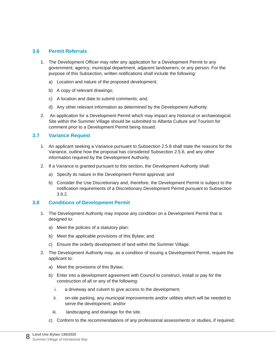## <span id="page-13-0"></span>**3.6 Permit Referrals**

- 1. The Development Officer may refer any application for a Development Permit to any government, agency, municipal department, adjacent landowners, or any person. For the purpose of this Subsection, written notifications shall include the following:
	- a) Location and nature of the proposed development;
	- b) A copy of relevant drawings;
	- c) A location and date to submit comments; and,
	- d) Any other relevant information as determined by the Development Authority.
- 2. An application for a Development Permit which may impact any historical or archaeological Site within the Summer Village should be submitted to Alberta Culture and Tourism for comment prior to a Development Permit being issued.

## <span id="page-13-1"></span>**3.7 Variance Request**

- 1. An applicant seeking a Variance pursuant to Subsection 2.5.8 shall state the reasons for the Variance, outline how the proposal has considered Subsection 2.5.6, and any other information required by the Development Authority.
- 2. If a Variance is granted pursuant to this section, the Development Authority shall:
	- a) Specify its nature in the Development Permit approval; and
	- b) Consider the Use Discretionary and, therefore, the Development Permit is subject to the notification requirements of a Discretionary Development Permit pursuant to Subsection 3.9.2.

## <span id="page-13-2"></span>**3.8 Conditions of Development Permit**

- 1. The Development Authority may impose any condition on a Development Permit that is designed to:
	- a) Meet the policies of a statutory plan;
	- b) Meet the applicable provisions of this Bylaw; and
	- c) Ensure the orderly development of land within the Summer Village.
- 2. The Development Authority may, as a condition of issuing a Development Permit, require the applicant to:
	- a) Meet the provisions of this Bylaw;
	- b) Enter into a development agreement with Council to construct, install or pay for the construction of all or any of the following:
		- i. a driveway and culvert to give access to the development;
		- ii. on-site parking, any municipal improvements and/or utilities which will be needed to serve the development; and/or
		- iii. landscaping and drainage for the site.
	- c) Conform to the recommendations of any professional assessments or studies, if required;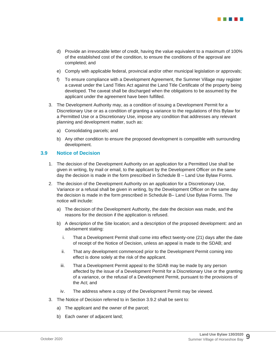

- d) Provide an irrevocable letter of credit, having the value equivalent to a maximum of 100% of the established cost of the condition, to ensure the conditions of the approval are completed; and
- e) Comply with applicable federal, provincial and/or other municipal legislation or approvals;
- f) To ensure compliance with a Development Agreement, the Summer Village may register a caveat under the Land Titles Act against the Land Title Certificate of the property being developed. The caveat shall be discharged when the obligations to be assumed by the applicant under the agreement have been fulfilled.
- 3. The Development Authority may, as a condition of issuing a Development Permit for a Discretionary Use or as a condition of granting a variance to the regulations of this Bylaw for a Permitted Use or a Discretionary Use, impose any condition that addresses any relevant planning and development matter, such as:
	- a) Consolidating parcels; and
	- b) Any other condition to ensure the proposed development is compatible with surrounding development.

#### <span id="page-14-0"></span>**3.9 Notice of Decision**

- 1. The decision of the Development Authority on an application for a Permitted Use shall be given in writing, by mail or email, to the applicant by the Development Officer on the same day the decision is made in the form prescribed in Schedule B – Land Use Bylaw Forms.
- 2. The decision of the Development Authority on an application for a Discretionary Use, Variance or a refusal shall be given in writing, by the Development Officer on the same day the decision is made in the form prescribed in Schedule B– Land Use Bylaw Forms. The notice will include:
	- a) The decision of the Development Authority, the date the decision was made, and the reasons for the decision if the application is refused.
	- b) A description of the Site location; and a description of the proposed development: and an advisement stating:
		- i. That a Development Permit shall come into effect twenty-one (21) days after the date of receipt of the Notice of Decision, unless an appeal is made to the SDAB; and
		- ii. That any development commenced prior to the Development Permit coming into effect is done solely at the risk of the applicant.
		- iii. That a Development Permit appeal to the SDAB may be made by any person affected by the issue of a Development Permit for a Discretionary Use or the granting of a variance, or the refusal of a Development Permit, pursuant to the provisions of the Act; and
		- iv. The address where a copy of the Development Permit may be viewed.
- 3. The Notice of Decision referred to in Section 3.9.2 shall be sent to:
	- a) The applicant and the owner of the parcel;
	- b) Each owner of adjacent land;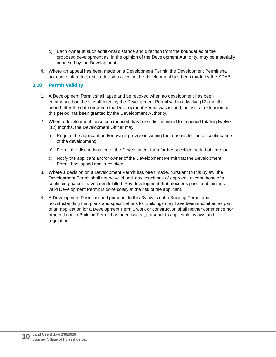- c) Each owner at such additional distance and direction from the boundaries of the proposed development as, in the opinion of the Development Authority, may be materially impacted by the Development.
- 4. Where an appeal has been made on a Development Permit, the Development Permit shall not come into effect until a decision allowing the development has been made by the SDAB.

## <span id="page-15-0"></span>**3.10 Permit Validity**

- 1. A Development Permit shall lapse and be revoked when no development has been commenced on the site affected by the Development Permit within a twelve (12) month period after the date on which the Development Permit was issued, unless an extension to this period has been granted by the Development Authority.
- 2. When a development, once commenced, has been discontinued for a period totaling twelve (12) months, the Development Officer may:
	- a) Require the applicant and/or owner provide in writing the reasons for the discontinuance of the development;
	- b) Permit the discontinuance of the Development for a further specified period of time; or
	- c) Notify the applicant and/or owner of the Development Permit that the Development Permit has lapsed and is revoked.
- 3. Where a decision on a Development Permit has been made, pursuant to this Bylaw, the Development Permit shall not be valid until any conditions of approval, except those of a continuing nature, have been fulfilled. Any development that proceeds prior to obtaining a valid Development Permit is done solely at the risk of the applicant.
- 4. A Development Permit issued pursuant to this Bylaw is not a Building Permit and, notwithstanding that plans and specifications for Buildings may have been submitted as part of an application for a Development Permit, work or construction shall neither commence nor proceed until a Building Permit has been issued, pursuant to applicable bylaws and regulations.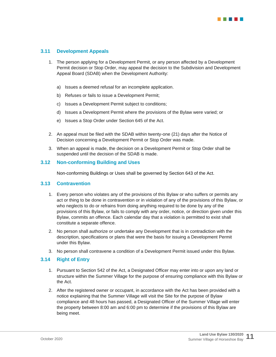

### <span id="page-16-0"></span>**3.11 Development Appeals**

- 1. The person applying for a Development Permit, or any person affected by a Development Permit decision or Stop Order, may appeal the decision to the Subdivision and Development Appeal Board (SDAB) when the Development Authority:
	- a) Issues a deemed refusal for an incomplete application.
	- b) Refuses or fails to issue a Development Permit;
	- c) Issues a Development Permit subject to conditions;
	- d) Issues a Development Permit where the provisions of the Bylaw were varied; or
	- e) Issues a Stop Order under Section 645 of the Act.
- 2. An appeal must be filed with the SDAB within twenty-one (21) days after the Notice of Decision concerning a Development Permit or Stop Order was made.
- 3. When an appeal is made, the decision on a Development Permit or Stop Order shall be suspended until the decision of the SDAB is made.

#### <span id="page-16-1"></span>**3.12 Non-conforming Building and Uses**

Non-conforming Buildings or Uses shall be governed by Section 643 of the Act.

#### <span id="page-16-2"></span>**3.13 Contravention**

- 1. Every person who violates any of the provisions of this Bylaw or who suffers or permits any act or thing to be done in contravention or in violation of any of the provisions of this Bylaw, or who neglects to do or refrains from doing anything required to be done by any of the provisions of this Bylaw, or fails to comply with any order, notice, or direction given under this Bylaw, commits an offence. Each calendar day that a violation is permitted to exist shall constitute a separate offence.
- 2. No person shall authorize or undertake any Development that is in contradiction with the description, specifications or plans that were the basis for issuing a Development Permit under this Bylaw.
- 3. No person shall contravene a condition of a Development Permit issued under this Bylaw.

#### <span id="page-16-3"></span>**3.14 Right of Entry**

- 1. Pursuant to Section 542 of the Act, a Designated Officer may enter into or upon any land or structure within the Summer Village for the purpose of ensuring compliance with this Bylaw or the Act.
- 2. After the registered owner or occupant, in accordance with the Act has been provided with a notice explaining that the Summer Village will visit the Site for the purpose of Bylaw compliance and 48 hours has passed, a Designated Officer of the Summer Village will enter the property between 8:00 am and 6:00 pm to determine if the provisions of this Bylaw are being meet.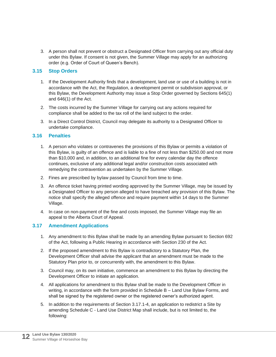3. A person shall not prevent or obstruct a Designated Officer from carrying out any official duty under this Bylaw. If consent is not given, the Summer Village may apply for an authorizing order (e.g. Order of Court of Queen's Bench).

## <span id="page-17-0"></span>**3.15 Stop Orders**

- 1. If the Development Authority finds that a development, land use or use of a building is not in accordance with the Act, the Regulation, a development permit or subdivision approval, or this Bylaw, the Development Authority may issue a Stop Order governed by Sections 645(1) and 646(1) of the Act.
- 2. The costs incurred by the Summer Village for carrying out any actions required for compliance shall be added to the tax roll of the land subject to the order.
- 3. In a Direct Control District, Council may delegate its authority to a Designated Officer to undertake compliance.

## <span id="page-17-1"></span>**3.16 Penalties**

- 1. A person who violates or contravenes the provisions of this Bylaw or permits a violation of this Bylaw, is guilty of an offence and is liable to a fine of not less than \$250.00 and not more than \$10,000 and, in addition, to an additional fine for every calendar day the offence continues, exclusive of any additional legal and/or construction costs associated with remedying the contravention as undertaken by the Summer Village.
- 2. Fines are prescribed by bylaw passed by Council from time to time.
- 3. An offence ticket having printed wording approved by the Summer Village, may be issued by a Designated Officer to any person alleged to have breached any provision of this Bylaw. The notice shall specify the alleged offence and require payment within 14 days to the Summer Village.
- 4. In case on non-payment of the fine and costs imposed, the Summer Village may file an appeal to the Alberta Court of Appeal.

## <span id="page-17-2"></span>**3.17 Amendment Applications**

- 1. Any amendment to this Bylaw shall be made by an amending Bylaw pursuant to Section 692 of the Act, following a Public Hearing in accordance with Section 230 of the Act.
- 2. If the proposed amendment to this Bylaw is contradictory to a Statutory Plan, the Development Officer shall advise the applicant that an amendment must be made to the Statutory Plan prior to, or concurrently with, the amendment to this Bylaw.
- 3. Council may, on its own initiative, commence an amendment to this Bylaw by directing the Development Officer to initiate an application.
- 4. All applications for amendment to this Bylaw shall be made to the Development Officer in writing, in accordance with the form provided in Schedule B – Land Use Bylaw Forms, and shall be signed by the registered owner or the registered owner's authorized agent.
- 5. In addition to the requirements of Section 3.17.1-4, an application to redistrict a Site by amending Schedule C - Land Use District Map shall include, but is not limited to, the following: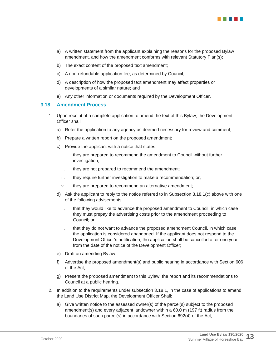

- a) A written statement from the applicant explaining the reasons for the proposed Bylaw amendment, and how the amendment conforms with relevant Statutory Plan(s);
- b) The exact content of the proposed text amendment;
- c) A non-refundable application fee, as determined by Council;
- d) A description of how the proposed text amendment may affect properties or developments of a similar nature; and
- e) Any other information or documents required by the Development Officer.

#### <span id="page-18-0"></span>**3.18 Amendment Process**

- 1. Upon receipt of a complete application to amend the text of this Bylaw, the Development Officer shall:
	- a) Refer the application to any agency as deemed necessary for review and comment;
	- b) Prepare a written report on the proposed amendment;
	- c) Provide the applicant with a notice that states:
		- i. they are prepared to recommend the amendment to Council without further investigation;
		- ii. they are not prepared to recommend the amendment;
		- iii. they require further investigation to make a recommendation; or,
	- iv. they are prepared to recommend an alternative amendment;
	- d) Ask the applicant to reply to the notice referred to in Subsection 3.18.1(c) above with one of the following advisements:
		- i. that they would like to advance the proposed amendment to Council, in which case they must prepay the advertising costs prior to the amendment proceeding to Council; or
		- ii. that they do not want to advance the proposed amendment Council, in which case the application is considered abandoned. If the applicant does not respond to the Development Officer's notification, the application shall be cancelled after one year from the date of the notice of the Development Officer;
	- e) Draft an amending Bylaw;
	- f) Advertise the proposed amendment(s) and public hearing in accordance with Section 606 of the Act,
	- g) Present the proposed amendment to this Bylaw, the report and its recommendations to Council at a public hearing.
- 2. In addition to the requirements under subsection 3.18.1, in the case of applications to amend the Land Use District Map, the Development Officer Shall:
	- a) Give written notice to the assessed owner(s) of the parcel(s) subject to the proposed amendment(s) and every adjacent landowner within a 60.0 m (197 ft) radius from the boundaries of such parcel(s) in accordance with Section 692(4) of the Act;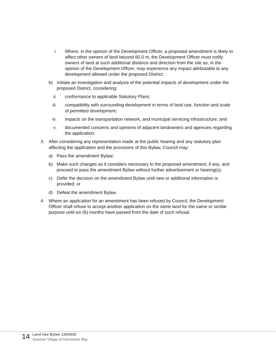- i. Where, in the opinion of the Development Officer, a proposed amendment is likely to affect other owners of land beyond 60.0 m, the Development Officer must notify owners of land at such additional distance and direction from the site as, in the opinion of the Development Officer, may experience any impact attributable to any development allowed under the proposed District;
- b) Initiate an investigation and analysis of the potential impacts of development under the proposed District, considering:
	- ii. conformance to applicable Statutory Plans;
	- iii. compatibility with surrounding development in terms of land use, function and scale of permitted development;
	- iv. impacts on the transportation network, and municipal servicing infrastructure; and
	- v. documented concerns and opinions of adjacent landowners and agencies regarding the application;
- 3. After considering any representation made at the public hearing and any statutory plan affecting the application and the provisions of this Bylaw, Council may:
	- a) Pass the amendment Bylaw;
	- b) Make such changes as it considers necessary to the proposed amendment, if any, and proceed to pass the amendment Bylaw without further advertisement or hearing(s);
	- c) Defer the decision on the amendment Bylaw until new or additional information is provided; or
	- d) Defeat the amendment Bylaw.
- 4. Where an application for an amendment has been refused by Council, the Development Officer shall refuse to accept another application on the same land for the same or similar purpose until six (6) months have passed from the date of such refusal.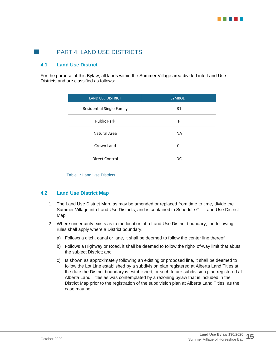

## <span id="page-20-0"></span>**PART 4: LAND USE DISTRICTS**

## <span id="page-20-1"></span>**4.1 Land Use District**

For the purpose of this Bylaw, all lands within the Summer Village area divided into Land Use Districts and are classified as follows:

| <b>LAND USE DISTRICT</b>         | <b>SYMBOL</b>  |
|----------------------------------|----------------|
| <b>Residential Single Family</b> | R <sub>1</sub> |
| <b>Public Park</b>               | P              |
| Natural Area                     | <b>NA</b>      |
| Crown Land                       | CL             |
| Direct Control                   | DC             |

Table 1: Land Use Districts

#### <span id="page-20-2"></span>**4.2 Land Use District Map**

- 1. The Land Use District Map, as may be amended or replaced from time to time, divide the Summer Village into Land Use Districts, and is contained in Schedule C – Land Use District Map.
- 2. Where uncertainty exists as to the location of a Land Use District boundary, the following rules shall apply where a District boundary:
	- a) Follows a ditch, canal or lane, it shall be deemed to follow the center line thereof;
	- b) Follows a Highway or Road, it shall be deemed to follow the right- of-way limit that abuts the subject District; and
	- c) Is shown as approximately following an existing or proposed line, it shall be deemed to follow the Lot Line established by a subdivision plan registered at Alberta Land Titles at the date the District boundary is established, or such future subdivision plan registered at Alberta Land Titles as was contemplated by a rezoning bylaw that is included in the District Map prior to the registration of the subdivision plan at Alberta Land Titles, as the case may be.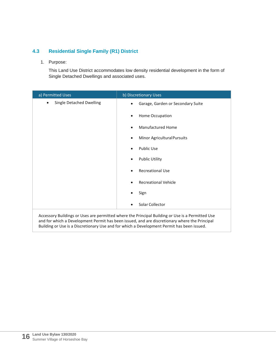## <span id="page-21-0"></span>**4.3 Residential Single Family (R1) District**

1. Purpose:

This Land Use District accommodates low density residential development in the form of Single Detached Dwellings and associated uses.

| a) Permitted Uses                     | b) Discretionary Uses                                                                                                                                                                             |
|---------------------------------------|---------------------------------------------------------------------------------------------------------------------------------------------------------------------------------------------------|
| Single Detached Dwelling<br>$\bullet$ | Garage, Garden or Secondary Suite                                                                                                                                                                 |
|                                       | Home Occupation<br>٠                                                                                                                                                                              |
|                                       | Manufactured Home                                                                                                                                                                                 |
|                                       | Minor Agricultural Pursuits                                                                                                                                                                       |
|                                       | <b>Public Use</b>                                                                                                                                                                                 |
|                                       | <b>Public Utility</b>                                                                                                                                                                             |
|                                       | <b>Recreational Use</b>                                                                                                                                                                           |
|                                       | <b>Recreational Vehicle</b>                                                                                                                                                                       |
|                                       | Sign                                                                                                                                                                                              |
|                                       | Solar Collector<br>$\bullet$                                                                                                                                                                      |
|                                       | Accessory Buildings or Uses are permitted where the Principal Building or Use is a Permitted Use<br>and for which a Development Permit has been issued, and are discretionary where the Principal |

Building or Use is a Discretionary Use and for which a Development Permit has been issued.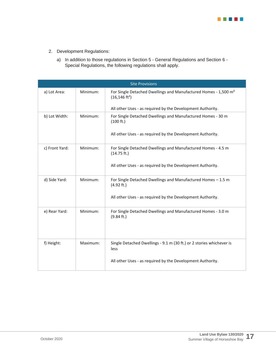

- 2. Development Regulations:
	- a) In addition to those regulations in Section 5 General Regulations and Section 6 Special Regulations, the following regulations shall apply.

|                | <b>Site Provisions</b> |                                                                                                         |  |  |
|----------------|------------------------|---------------------------------------------------------------------------------------------------------|--|--|
| a) Lot Area:   | Minimum:               | For Single Detached Dwellings and Manufactured Homes - 1,500 m <sup>2</sup><br>$(16, 146 \text{ ft}^2)$ |  |  |
|                |                        | All other Uses - as required by the Development Authority.                                              |  |  |
| b) Lot Width:  | Minimum:               | For Single Detached Dwellings and Manufactured Homes - 30 m<br>(100 ft.)                                |  |  |
|                |                        | All other Uses - as required by the Development Authority.                                              |  |  |
| c) Front Yard: | Minimum:               | For Single Detached Dwellings and Manufactured Homes - 4.5 m<br>(14.75 ft.)                             |  |  |
|                |                        | All other Uses - as required by the Development Authority.                                              |  |  |
| d) Side Yard:  | Minimum:               | For Single Detached Dwellings and Manufactured Homes - 1.5 m<br>(4.92 ft.)                              |  |  |
|                |                        | All other Uses - as required by the Development Authority.                                              |  |  |
| e) Rear Yard:  | Minimum:               | For Single Detached Dwellings and Manufactured Homes - 3.0 m<br>(9.84 ft.)                              |  |  |
| f) Height:     | Maximum:               | Single Detached Dwellings - 9.1 m (30 ft.) or 2 stories whichever is<br>less                            |  |  |
|                |                        | All other Uses - as required by the Development Authority.                                              |  |  |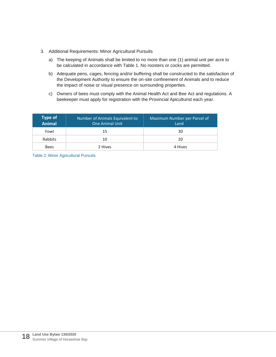- 3. Additional Requirements: Minor Agricultural Pursuits
	- a) The keeping of Animals shall be limited to no more than one (1) animal unit per acre to be calculated in accordance with Table 1. No roosters or cocks are permitted.
	- b) Adequate pens, cages, fencing and/or buffering shall be constructed to the satisfaction of the Development Authority to ensure the on-site confinement of Animals and to reduce the impact of noise or visual presence on surrounding properties.
	- c) Owners of bees must comply with the Animal Health Act and Bee Act and regulations. A beekeeper must apply for registration with the Provincial Apiculturist each year.

| <b>Type of</b><br>Animal | Number of Animals Equivalent to<br><b>One Animal Unit</b> | Maximum Number per Parcel of<br>Land |  |
|--------------------------|-----------------------------------------------------------|--------------------------------------|--|
| Fowl                     | 15                                                        | 30                                   |  |
| Rabbits<br>10            |                                                           | 20                                   |  |
| <b>Bees</b>              | 2 Hives                                                   | 4 Hives                              |  |

Table 2: Minor Agricultural Pursuits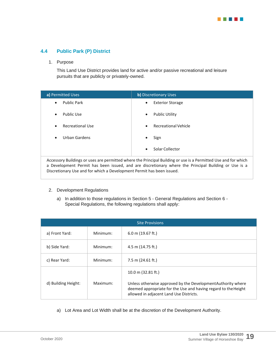

## <span id="page-24-0"></span>**4.4 Public Park (P) District**

#### 1. Purpose

This Land Use District provides land for active and/or passive recreational and leisure pursuits that are publicly or privately-owned.

| a) Permitted Uses                                                                                              | <b>b)</b> Discretionary Uses |  |
|----------------------------------------------------------------------------------------------------------------|------------------------------|--|
| <b>Public Park</b>                                                                                             | <b>Exterior Storage</b>      |  |
| $\bullet$                                                                                                      | $\bullet$                    |  |
| Public Use                                                                                                     | <b>Public Utility</b>        |  |
| $\bullet$                                                                                                      | $\bullet$                    |  |
| Recreational Use                                                                                               | <b>Recreational Vehicle</b>  |  |
| $\bullet$                                                                                                      | $\bullet$                    |  |
| Urban Gardens                                                                                                  | Sign                         |  |
| $\bullet$                                                                                                      | ٠                            |  |
|                                                                                                                | Solar Collector<br>$\bullet$ |  |
| Accessory Buildings or uses are permitted where the Principal Building or use is a Permitted Use and for which |                              |  |

Accessory Buildings or uses are permitted where the Principal Building or use is a Permitted Use and for which a Development Permit has been issued, and are discretionary where the Principal Building or Use is a Discretionary Use and for which a Development Permit has been issued.

#### 2. Development Regulations

a) In addition to those regulations in Section 5 - General Regulations and Section 6 - Special Regulations, the following regulations shall apply:

| <b>Site Provisions</b> |          |                                                                                                                                                                |
|------------------------|----------|----------------------------------------------------------------------------------------------------------------------------------------------------------------|
| a) Front Yard:         | Minimum: | $6.0$ m (19.67 ft.)                                                                                                                                            |
| b) Side Yard:          | Minimum: | 4.5 m (14.75 ft.)                                                                                                                                              |
| c) Rear Yard:          | Minimum: | 7.5 m (24.61 ft.)                                                                                                                                              |
| d) Building Height:    | Maximum: | 10.0 m $(32.81 \text{ ft.})$<br>Unless otherwise approved by the Development Authority where<br>deemed appropriate for the Use and having regard to the Height |
|                        |          | allowed in adjacent Land Use Districts.                                                                                                                        |

a) Lot Area and Lot Width shall be at the discretion of the Development Authority.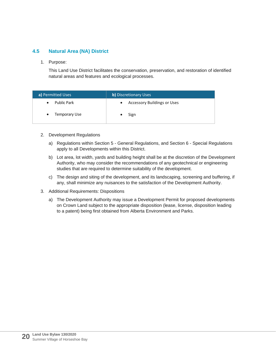## <span id="page-25-0"></span>**4.5 Natural Area (NA) District**

1. Purpose:

This Land Use District facilitates the conservation, preservation, and restoration of identified natural areas and features and ecological processes.

| a) Permitted Uses               | <b>b)</b> Discretionary Uses                    |
|---------------------------------|-------------------------------------------------|
| <b>Public Park</b><br>$\bullet$ | <b>Accessory Buildings or Uses</b><br>$\bullet$ |
| Temporary Use<br>$\bullet$      | Sign                                            |

- 2. Development Regulations
	- a) Regulations within Section 5 General Regulations, and Section 6 Special Regulations apply to all Developments within this District.
	- b) Lot area, lot width, yards and building height shall be at the discretion of the Development Authority, who may consider the recommendations of any geotechnical or engineering studies that are required to determine suitability of the development.
	- c) The design and siting of the development, and its landscaping, screening and buffering, if any, shall minimize any nuisances to the satisfaction of the Development Authority.
- 3. Additional Requirements: Dispositions
	- a) The Development Authority may issue a Development Permit for proposed developments on Crown Land subject to the appropriate disposition (lease, license, disposition leading to a patent) being first obtained from Alberta Environment and Parks.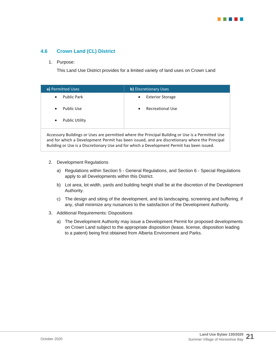

## <span id="page-26-0"></span>**4.6 Crown Land (CL) District**

#### 1. Purpose:

This Land Use District provides for a limited variety of land uses on Crown Land

| a) Permitted Uses                  | b) Discretionary Uses                                                                                          |
|------------------------------------|----------------------------------------------------------------------------------------------------------------|
| <b>Public Park</b><br>$\bullet$    | <b>Exterior Storage</b><br>$\bullet$                                                                           |
| Public Use<br>$\bullet$            | <b>Recreational Use</b><br>$\bullet$                                                                           |
| <b>Public Utility</b><br>$\bullet$ |                                                                                                                |
|                                    | لمملل المعطية وسيوم والمراجع المستامات والمستوسية والمستمرات والمططئ وسيمو وسمروه وممالسه ومستامات والسموموموم |

Accessory Buildings or Uses are permitted where the Principal Building or Use is a Permitted Use and for which a Development Permit has been issued, and are discretionary where the Principal Building or Use is a Discretionary Use and for which a Development Permit has been issued.

- 2. Development Regulations
	- a) Regulations within Section 5 General Regulations, and Section 6 Special Regulations apply to all Developments within this District.
	- b) Lot area, lot width, yards and building height shall be at the discretion of the Development Authority.
	- c) The design and siting of the development, and its landscaping, screening and buffering, if any, shall minimize any nuisances to the satisfaction of the Development Authority.
- 3. Additional Requirements: Dispositions
	- a) The Development Authority may issue a Development Permit for proposed developments on Crown Land subject to the appropriate disposition (lease, license, disposition leading to a patent) being first obtained from Alberta Environment and Parks.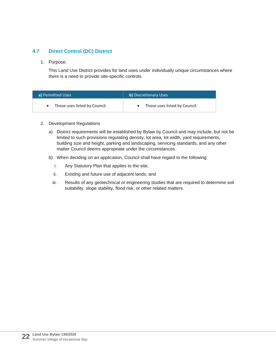## <span id="page-27-0"></span>**4.7 Direct Control (DC) District**

1. Purpose:

This Land Use District provides for land uses under individually unique circumstances where there is a need to provide site-specific controls.

| a) Permitted Uses             | <b>b)</b> Discretionary Uses  |
|-------------------------------|-------------------------------|
| Those uses listed by Council. | Those uses listed by Council. |

#### 2. Development Regulations

- a) District requirements will be established by Bylaw by Council and may include, but not be limited to such provisions regulating density, lot area, lot width, yard requirements, building size and height, parking and landscaping, servicing standards, and any other matter Council deems appropriate under the circumstances.
- b) When deciding on an application, Council shall have regard to the following:
	- i. Any Statutory Plan that applies to the site;
	- ii. Existing and future use of adjacent lands; and
	- iii. Results of any geotechnical or engineering studies that are required to determine soil suitability, slope stability, flood risk, or other related matters.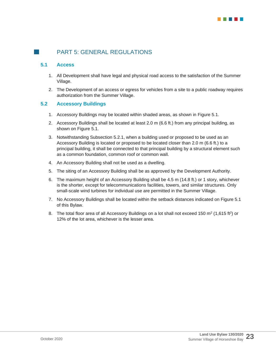

## <span id="page-28-0"></span>**PART 5: GENERAL REGULATIONS**

## <span id="page-28-1"></span>**5.1 Access**

- 1. All Development shall have legal and physical road access to the satisfaction of the Summer Village.
- 2. The Development of an access or egress for vehicles from a site to a public roadway requires authorization from the Summer Village.

## <span id="page-28-2"></span>**5.2 Accessory Buildings**

- 1. Accessory Buildings may be located within shaded areas, as shown in Figure 5.1.
- 2. Accessory Buildings shall be located at least 2.0 m (6.6 ft.) from any principal building, as shown on Figure 5.1.
- 3. Notwithstanding Subsection 5.2.1, when a building used or proposed to be used as an Accessory Building is located or proposed to be located closer than 2.0 m (6.6 ft.) to a principal building, it shall be connected to that principal building by a structural element such as a common foundation, common roof or common wall.
- 4. An Accessory Building shall not be used as a dwelling.
- 5. The siting of an Accessory Building shall be as approved by the Development Authority.
- 6. The maximum height of an Accessory Building shall be 4.5 m (14.8 ft.) or 1 story, whichever is the shorter, except for telecommunications facilities, towers, and similar structures. Only small-scale wind turbines for individual use are permitted in the Summer Village.
- 7. No Accessory Buildings shall be located within the setback distances indicated on Figure 5.1 of this Bylaw.
- 8. The total floor area of all Accessory Buildings on a lot shall not exceed 150 m<sup>2</sup> (1,615 ft<sup>2</sup>) or 12% of the lot area, whichever is the lesser area.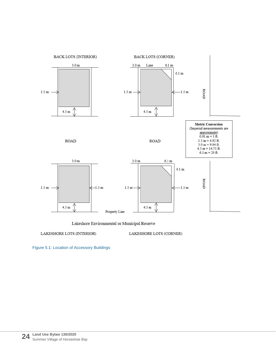

Lakeshore Environmental or Municipal Reserve

LAKESHORE LOTS (INTERIOR)

LAKESHORE LOTS (CORNER)

Figure 5.1: Location of Accessory Buildings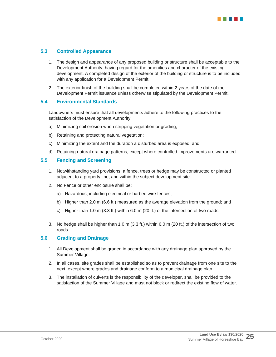

### <span id="page-30-0"></span>**5.3 Controlled Appearance**

- 1. The design and appearance of any proposed building or structure shall be acceptable to the Development Authority, having regard for the amenities and character of the existing development. A completed design of the exterior of the building or structure is to be included with any application for a Development Permit.
- 2. The exterior finish of the building shall be completed within 2 years of the date of the Development Permit issuance unless otherwise stipulated by the Development Permit.

## <span id="page-30-1"></span>**5.4 Environmental Standards**

Landowners must ensure that all developments adhere to the following practices to the satisfaction of the Development Authority:

- a) Minimizing soil erosion when stripping vegetation or grading;
- b) Retaining and protecting natural vegetation;
- c) Minimizing the extent and the duration a disturbed area is exposed; and
- d) Retaining natural drainage patterns, except where controlled improvements are warranted.

#### <span id="page-30-2"></span>**5.5 Fencing and Screening**

- 1. Notwithstanding yard provisions, a fence, trees or hedge may be constructed or planted adjacent to a property line, and within the subject development site.
- 2. No Fence or other enclosure shall be:
	- a) Hazardous, including electrical or barbed wire fences;
	- b) Higher than 2.0 m (6.6 ft.) measured as the average elevation from the ground; and
	- c) Higher than 1.0 m (3.3 ft.) within 6.0 m (20 ft.) of the intersection of two roads.
- 3. No hedge shall be higher than 1.0 m (3.3 ft.) within 6.0 m (20 ft.) of the intersection of two roads.

## <span id="page-30-3"></span>**5.6 Grading and Drainage**

- 1. All Development shall be graded in accordance with any drainage plan approved by the Summer Village.
- 2. In all cases, site grades shall be established so as to prevent drainage from one site to the next, except where grades and drainage conform to a municipal drainage plan.
- 3. The installation of culverts is the responsibility of the developer, shall be provided to the satisfaction of the Summer Village and must not block or redirect the existing flow of water.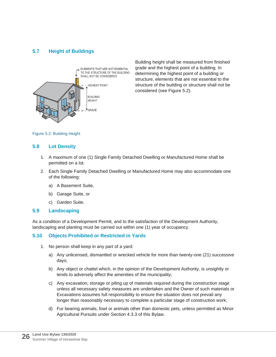## <span id="page-31-0"></span>**5.7 Height of Buildings**



Building height shall be measured from finished grade and the highest point of a building. In determining the highest point of a building or structure, elements that are not essential to the structure of the building or structure shall not be considered (see Figure 5.2).

Figure 5.2: Building Height

## <span id="page-31-1"></span>**5.8 Lot Density**

- 1. A maximum of one (1) Single Family Detached Dwelling or Manufactured Home shall be permitted on a lot.
- 2. Each Single Family Detached Dwelling or Manufactured Home may also accommodate one of the following:
	- a) A Basement Suite,
	- b) Garage Suite, or
	- c) Garden Suite.

## <span id="page-31-2"></span>**5.9 Landscaping**

As a condition of a Development Permit, and to the satisfaction of the Development Authority, landscaping and planting must be carried out within one (1) year of occupancy.

## <span id="page-31-3"></span>**5.10 Objects Prohibited or Restricted in Yards**

- 1. No person shall keep in any part of a yard:
	- a) Any unlicensed, dismantled or wrecked vehicle for more than twenty-one (21) successive days;
	- b) Any object or chattel which, in the opinion of the Development Authority, is unsightly or tends to adversely affect the amenities of the municipality;
	- c) Any excavation, storage or piling up of materials required during the construction stage unless all necessary safety measures are undertaken and the Owner of such materials or Excavations assumes full responsibility to ensure the situation does not prevail any longer than reasonably necessary to complete a particular stage of construction work;
	- d) Fur bearing animals, fowl or animals other than domestic pets, unless permitted as Minor Agricultural Pursuits under Section 4.3.3 of this Bylaw.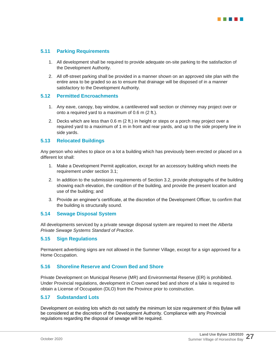

## <span id="page-32-0"></span>**5.11 Parking Requirements**

- 1. All development shall be required to provide adequate on-site parking to the satisfaction of the Development Authority.
- 2. All off-street parking shall be provided in a manner shown on an approved site plan with the entire area to be graded so as to ensure that drainage will be disposed of in a manner satisfactory to the Development Authority.

#### <span id="page-32-1"></span>**5.12 Permitted Encroachments**

- 1. Any eave, canopy, bay window, a cantilevered wall section or chimney may project over or onto a required yard to a maximum of 0.6 m (2 ft.).
- 2. Decks which are less than 0.6 m (2 ft.) in height or steps or a porch may project over a required yard to a maximum of 1 m in front and rear yards, and up to the side property line in side yards.

#### <span id="page-32-2"></span>**5.13 Relocated Buildings**

Any person who wishes to place on a lot a building which has previously been erected or placed on a different lot shall:

- 1. Make a Development Permit application, except for an accessory building which meets the requirement under section 3.1;
- 2. In addition to the submission requirements of Section 3.2, provide photographs of the building showing each elevation, the condition of the building, and provide the present location and use of the building; and
- 3. Provide an engineer's certificate, at the discretion of the Development Officer, to confirm that the building is structurally sound.

#### <span id="page-32-3"></span>**5.14 Sewage Disposal System**

All developments serviced by a private sewage disposal system are required to meet the *Alberta Private Sewage Systems Standard of Practice*.

#### <span id="page-32-4"></span>**5.15 Sign Regulations**

Permanent advertising signs are not allowed in the Summer Village, except for a sign approved for a Home Occupation.

## <span id="page-32-5"></span>**5.16 Shoreline Reserve and Crown Bed and Shore**

Private Development on Municipal Reserve (MR) and Environmental Reserve (ER) is prohibited. Under Provincial regulations, development in Crown owned bed and shore of a lake is required to obtain a License of Occupation (DLO) from the Province prior to construction.

#### <span id="page-32-6"></span>**5.17 Substandard Lots**

Development on existing lots which do not satisfy the minimum lot size requirement of this Bylaw will be considered at the discretion of the Development Authority. Compliance with any Provincial regulations regarding the disposal of sewage will be required.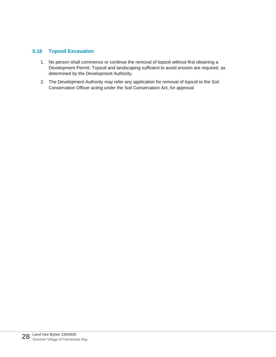## <span id="page-33-0"></span>**5.18 Topsoil Excavation**

- 1. No person shall commence or continue the removal of topsoil without first obtaining a Development Permit. Topsoil and landscaping sufficient to avoid erosion are required, as determined by the Development Authority.
- 2. The Development Authority may refer any application for removal of topsoil to the Soil Conservation Officer acting under the Soil Conservation Act, for approval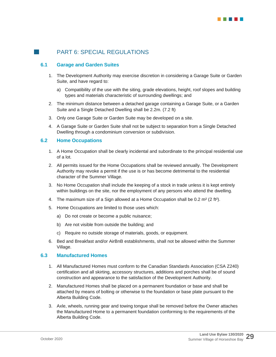## <span id="page-34-0"></span>**PART 6: SPECIAL REGULATIONS**

## <span id="page-34-1"></span>**6.1 Garage and Garden Suites**

- 1. The Development Authority may exercise discretion in considering a Garage Suite or Garden Suite, and have regard to:
	- a) Compatibility of the use with the siting, grade elevations, height, roof slopes and building types and materials characteristic of surrounding dwellings; and
- 2. The minimum distance between a detached garage containing a Garage Suite, or a Garden Suite and a Single Detached Dwelling shall be 2.2m. (7.2 ft)
- 3. Only one Garage Suite or Garden Suite may be developed on a site.
- 4. A Garage Suite or Garden Suite shall not be subject to separation from a Single Detached Dwelling through a condominium conversion or subdivision.

#### <span id="page-34-2"></span>**6.2 Home Occupations**

- 1. A Home Occupation shall be clearly incidental and subordinate to the principal residential use of a lot.
- 2. All permits issued for the Home Occupations shall be reviewed annually. The Development Authority may revoke a permit if the use is or has become detrimental to the residential character of the Summer Village.
- 3. No Home Occupation shall include the keeping of a stock in trade unless it is kept entirely within buildings on the site, nor the employment of any persons who attend the dwelling.
- 4. The maximum size of a Sign allowed at a Home Occupation shall be  $0.2$  m<sup>2</sup> (2 ft<sup>2</sup>).
- 5. Home Occupations are limited to those uses which:
	- a) Do not create or become a public nuisance;
	- b) Are not visible from outside the building; and
	- c) Require no outside storage of materials, goods, or equipment.
- 6. Bed and Breakfast and/or AirBnB establishments, shall not be allowed within the Summer Village.

#### <span id="page-34-3"></span>**6.3 Manufactured Homes**

- 1. All Manufactured Homes must conform to the Canadian Standards Association (CSA Z240) certification and all skirting, accessory structures, additions and porches shall be of sound construction and appearance to the satisfaction of the Development Authority.
- 2. Manufactured Homes shall be placed on a permanent foundation or base and shall be attached by means of bolting or otherwise to the foundation or base plate pursuant to the Alberta Building Code.
- 3. Axle, wheels, running gear and towing tongue shall be removed before the Owner attaches the Manufactured Home to a permanent foundation conforming to the requirements of the Alberta Building Code.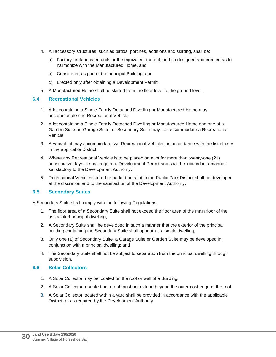- 4. All accessory structures, such as patios, porches, additions and skirting, shall be:
	- a) Factory-prefabricated units or the equivalent thereof, and so designed and erected as to harmonize with the Manufactured Home, and
	- b) Considered as part of the principal Building; and
	- c) Erected only after obtaining a Development Permit.
- 5. A Manufactured Home shall be skirted from the floor level to the ground level.

## <span id="page-35-0"></span>**6.4 Recreational Vehicles**

- 1. A lot containing a Single Family Detached Dwelling or Manufactured Home may accommodate one Recreational Vehicle.
- 2. A lot containing a Single Family Detached Dwelling or Manufactured Home and one of a Garden Suite or, Garage Suite, or Secondary Suite may not accommodate a Recreational Vehicle.
- 3. A vacant lot may accommodate two Recreational Vehicles, in accordance with the list of uses in the applicable District.
- 4. Where any Recreational Vehicle is to be placed on a lot for more than twenty-one (21) consecutive days, it shall require a Development Permit and shall be located in a manner satisfactory to the Development Authority.
- 5. Recreational Vehicles stored or parked on a lot in the Public Park District shall be developed at the discretion and to the satisfaction of the Development Authority.

## <span id="page-35-1"></span>**6.5 Secondary Suites**

A Secondary Suite shall comply with the following Regulations:

- 1. The floor area of a Secondary Suite shall not exceed the floor area of the main floor of the associated principal dwelling;
- 2. A Secondary Suite shall be developed in such a manner that the exterior of the principal building containing the Secondary Suite shall appear as a single dwelling;
- 3. Only one (1) of Secondary Suite, a Garage Suite or Garden Suite may be developed in conjunction with a principal dwelling; and
- 4. The Secondary Suite shall not be subject to separation from the principal dwelling through subdivision.

## <span id="page-35-2"></span>**6.6 Solar Collectors**

- 1. A Solar Collector may be located on the roof or wall of a Building.
- 2. A Solar Collector mounted on a roof must not extend beyond the outermost edge of the roof.
- 3. A Solar Collector located within a yard shall be provided in accordance with the applicable District, or as required by the Development Authority.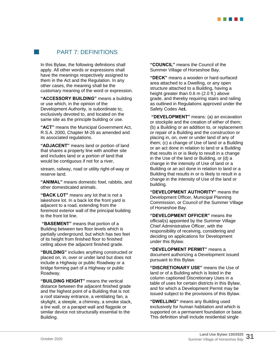

## **PART 7: DEFINITIONS**

<span id="page-36-0"></span>In this Bylaw, the following definitions shall apply. All other words or expressions shall have the meanings respectively assigned to them in the Act and the Regulation. In any other cases, the meaning shall be the customary meaning of the word or expression.

**"ACCESSORY BUILDING"** means a building or use which, in the opinion of the Development Authority, is subordinate to, exclusively devoted to, and located on the same site as the principle building or use.

**"ACT"** means the Municipal Government Act, R.S.A. 2000, Chapter M-26 as amended and its associated regulations.

**"ADJACENT"** means land or portion of land that shares a property line with another site and includes land or a portion of land that would be contiguous if not for a river,

stream, railway, road or utility right-of-way or reserve land.

**"ANIMAL"** means domestic fowl, rabbits, and other domesticated animals.

**"BACK LOT"** means any lot that is not a lakeshore lot. In a back lot the front yard is adjacent to a road, extending from the foremost exterior wall of the principal building to the front lot line.

**"BASEMENT"** means that portion of a Building between two floor levels which is partially underground, but which has two feet of its height from finished floor to finished ceiling above the adjacent finished grade.

**"BUILDING"** includes anything constructed or placed on, in, over or under land but does not include a Highway or public Roadway or a bridge forming part of a Highway or public Roadway.

**"BUILDING HEIGHT"** means the vertical distance between the adjacent finished grade and the highest point of a Building that is not: a roof stairway entrance, a ventilating fan, a skylight, a steeple, a chimney, a smoke stack, a tire wall, or a parapet wall and flagpole or similar device not structurally essential to the Building.

**"COUNCIL"** means the Council of the Summer Village of Horseshoe Bay.

**"DECK"** means a wooden or hard-surfaced area attached to a Dwelling, or any open structure attached to a Building, having a height greater than 0.6 m (2.0 ft.) above grade, and thereby requiring stairs and railing as outlined in Regulations approved under the Safety Codes A**ct.**

**"DEVELOPMENT"** means: (a) an excavation or stockpile and the creation of either of them; (b) a Building or an addition to, or replacement or repair of a Building and the construction or placing in, on, over or under land of any of them; (c) a change of Use of land or a Building or an act done in relation to land or a Building that results in or is likely to result in a change in the Use of the land or Building, or (d) a change in the intensity of Use of land or a Building or an act done in relation to land or a Building that results in or is likely to result in a change in the intensity of Use of the land or building.

**"DEVELOPMENT AUTHORITY"** means the Development Officer, Municipal Planning Commission, or Council of the Summer Village of Horseshoe Bay.

**"DEVELOPMENT OFFICER"** means the official(s) appointed by the Summer Village Chief Administrative Officer, with the responsibility of receiving, considering and deciding on applications for Development under this Bylaw.

**"DEVELOPMENT PERMIT"** means a document authorizing a Development issued pursuant to this Bylaw.

**"DISCRETIONARY USE"** means the Use of land or of a Building which is listed in the column captioned Discretionary Uses in a table of uses for certain districts in this Bylaw, and for which a Development Permit may be issued subject to the provisions of this Bylaw.

**"DWELLING"** means any Building used exclusively for human habitation and which is supported on a permanent foundation or base. This definition shall include residential single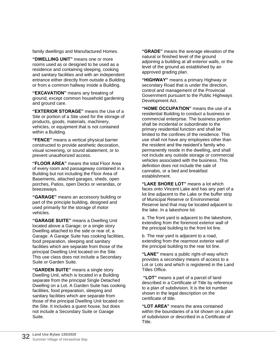family dwellings and Manufactured Homes.

**"DWELLING UNIT"** means one or more rooms used as or designed to be used as a residence and containing sleeping, cooking and sanitary facilities and with an independent entrance either directly from outside a Building or from a common hallway inside a Building.

**"EXCAVATION"** means any breaking of ground, except common household gardening and ground care.

**"EXTERIOR STORAGE"** means the Use of a Site or portion of a Site used for the storage of products, goods, materials, machinery, vehicles, or equipment that is not contained within a Building.

**"FENCE"** means a vertical physical barrier constructed to provide aesthetic decoration, visual screening, or sound abatement, or to prevent unauthorized access.

**"FLOOR AREA"** means the total Floor Area of every room and passageway contained in a Building but not including the Floor Area of Basements, attached garages, sheds, open porches, Patios, open Decks or verandas, or breezeways.

**"GARAGE"** means an accessory building or part of the principle building, designed and used primarily for the storage of motor vehicles.

**"GARAGE SUITE"** means a Dwelling Unit located above a Garage; or a single story Dwelling attached to the side or rear of, a Garage. A Garage Suite has cooking facilities, food preparation, sleeping and sanitary facilities which are separate from those of the principal Dwelling Unit located on the Site. This use class does not include a Secondary Suite or Garden Suite.

**"GARDEN SUITE"** means a single story Dwelling Unit, which is located in a Building separate from the principal Single Detached Dwelling on a Lot. A Garden Suite has cooking facilities, food preparation, sleeping and sanitary facilities which are separate from those of the principal Dwelling Unit located on the Site. It includes a guest house, but does not include a Secondary Suite or Garage Suite.

**"GRADE"** means the average elevation of the natural or finished level of the ground adjoining a building at all exterior walls, or the level of the ground as established by an approved grading plan.

**"HIGHWAY"** means a primary Highway or secondary Road that is under the direction, control and management of the Provincial Government pursuant to the Public Highways Development Act.

**"HOME OCCUPATION"** means the use of a residential Building to conduct a business or commercial enterprise. The business portion shall be incidental or subordinate to the primary residential function and shall be limited to the confines of the residence. This use shall not have any employees other than the resident and the resident's family who permanently reside in the dwelling, and shall not include any outside storage or commercial vehicles associated with the business. This definition does not include the sale of cannabis, or a bed and breakfast establishment.

**"LAKE SHORE LOT"** means a lot which faces onto Vincent Lake and has any part of a lot line adjacent to the Lake or the buffer strip of Municipal Reserve or Environmental Reserve land that may be located adjacent to the lake. In a lakeshore lot:

a. The front yard is adjacent to the lakeshore, extending from the foremost exterior wall of the principal building to the front lot line.

b. The rear yard is adjacent to a road, extending from the rearmost exterior wall of the principal building to the rear lot line.

**"LANE"** means a public right-of-way which provides a secondary means of access to a Lot or Lots and which is registered in the Land Titles Office.

**"LOT"** means a part of a parcel of land described in a Certificate of Title by reference to a plan of subdivision. It is the lot number shown in the legal description on the certificate of title.

**"LOT AREA"** means the area contained within the boundaries of a lot shown on a plan of subdivision or described in a Certificate of Title.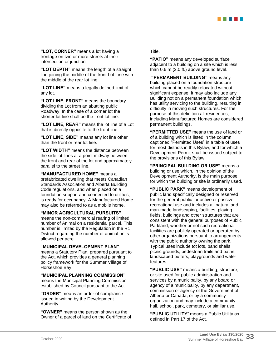

**"LOT, CORNER"** means a lot having a frontage on two or more streets at their intersection or junction.

**"LOT DEPTH"** means the length of a straight line joining the middle of the front Lot Line with the middle of the rear lot line.

**"LOT LINE"** means a legally defined limit of any lot.

**"LOT LINE, FRONT"** means the boundary dividing the Lot from an abutting public Roadway. In the case of a corner lot the shorter lot line shall be the front lot line.

**"LOT LINE, REAR"** means the lot line of a Lot that is directly opposite to the front line.

**"LOT LINE, SIDE"** means any lot line other than the front or rear lot line.

**"LOT WIDTH"** means the distance between the side lot lines at a point midway between the front and rear of the lot and approximately parallel to the street line.

**"MANUFACTURED HOME"** means a prefabricated dwelling that meets Canadian Standards Association and Alberta Building Code regulations, and when placed on a foundation support and connected to utilities, is ready for occupancy. A Manufactured Home may also be referred to as a mobile home.

**"MINOR AGRICULTURAL PURSUITS"** means the non-commercial rearing of limited number of Animal on a residential parcel. This number is limited by the Regulation in the R1 District regarding the number of animal units allowed per acre.

## **"MUNICIPAL DEVELOPMENT PLAN"**

means a Statutory Plan, prepared pursuant to the Act, which provides a general planning policy framework for the Summer Village of Horseshoe Bay.

**"MUNICIPAL PLANNING COMMISSION"** 

means the Municipal Planning Commission established by Council pursuant to the Act.

**"ORDER"** means an order of compliance issued in writing by the Development Authority.

**"OWNER"** means the person shown as the Owner of a parcel of land on the Certificate of

### Title.

**"PATIO"** means any developed surface adjacent to a building on a site which is less than 0.6 m (2.0 ft.) above ground level.

**"PERMANENT BUILDING"** means any building placed on a foundation structure which cannot be readily relocated without significant expense. It may also include any Building not on a permanent foundation which has utility servicing to the building, resulting in difficulty in moving such structures. For the purpose of this definition all residences, including Manufactured Homes are considered permanent buildings.

**"PERMITTED USE"** means the use of land or of a building which is listed in the column captioned "Permitted Uses" in a table of uses for most districts in this Bylaw, and for which a Development Permit shall be issued subject to the provisions of this Bylaw.

**"PRINCIPAL BUILDING OR USE"** means a building or use which, in the opinion of the Development Authority, is the main purpose for which the building or site is ordinarily used.

**"PUBLIC PARK"** means development of public land specifically designed or reserved for the general public for active or passive recreational use and includes all natural and man-made landscaping, facilities, playing fields, buildings and other structures that are consistent with the general purposes of Public Parkland, whether or not such recreational facilities are publicly operated or operated by other organizations pursuant to arrangements with the public authority owning the park. Typical uses include tot lots, band shells, picnic grounds, pedestrian trails and paths, landscaped buffers, playgrounds and water features.

**"PUBLIC USE"** means a building, structure, or site used for public administration and services by a municipality, by any board or agency of a municipality, by any department, commission or agency of the Government of Alberta or Canada, or by a community organization and may include a community hall, school, park, cemetery, or similar use.

**"PUBLIC UTILITY**" means a Public Utility as defined in Part 17 of the Act.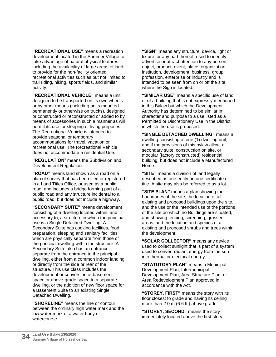**"RECREATIONAL USE"** means a recreation development located in the Summer Village to take advantage of natural physical features including the availability of large areas of land to provide for the non-facility oriented recreational activities such as but not limited to trail riding, hiking, sports fields, and similar activity.

**"RECREATIONAL VEHICLE"** means a unit designed to be transported on its own wheels or by other means (including units mounted permanently or otherwise on trucks), designed or constructed or reconstructed or added to by means of accessories in such a manner as will permit its use for sleeping or living purposes. The Recreational Vehicle is intended to provide seasonal or temporary accommodations for travel, vacation or recreational use. The Recreational Vehicle does not accommodate a residential Use.

**"REGULATION**" means the Subdivision and Development Regulation.

**"ROAD"** means land shown as a road on a plan of survey that has been filed or registered in a Land Titles Office, or used as a public road, and includes a bridge forming part of a public road and any structure incidental to a public road, but does not include a highway.

**"SECONDARY SUITE"** means development consisting of a dwelling located within, and accessory to, a structure in which the principal use is a Single Detached Dwelling. A Secondary Suite has cooking facilities, food preparation, sleeping and sanitary facilities which are physically separate from those of the principal dwelling within the structure. A Secondary Suite also has an entrance separate from the entrance to the principal dwelling, either from a common indoor landing or directly from the side or rear of the structure. This use class includes the development or conversion of basement space or above-grade space to a separate dwelling, or the addition of new floor space for a Basement Suite to an existing Single Detached Dwelling.

**"SHORELINE"** means the line or contour between the ordinary high water mark and the low water mark of a water body or watercourse.

**"SIGN"** means any structure, device, light or fixture, or any part thereof, used to identify, advertise or attract attention to any person, object, product, event, place, organization, institution, development, business, group, profession, enterprise or industry and is intended to be seen from on or off the site where the Sign is located.

**"SIMILAR USE"** means a specific use of land or of a building that is not expressly mentioned in this Bylaw but which the Development Authority has determined to be similar in character and purpose to a use listed as a Permitted or Discretionary Use in the District in which the use is proposed.

**"SINGLE DETACHED DWELLING"** means a dwelling consisting of one (1) dwelling unit, and if the provisions of this bylaw allow, a secondary suite, construction on site, or modular (factory constructed) residential building, but does not include a Manufactured Home.

**"SITE"** means a division of land legally described as one entity on one certificate of title. A site may also be referred to as a lot.

**"SITE PLAN"** means a plan showing the boundaries of the site, the location of all existing and proposed buildings upon the site, and the use or the intended use of the portions of the site on which no Buildings are situated, and showing fencing, screening, grassed areas, and the location and species of all existing and proposed shrubs and trees within the development.

**"SOLAR COLLECTOR"** means any device used to collect sunlight that is part of a system used to convert radiant energy from the sun into thermal or electrical energy.

**"STATUTORY PLAN"** means a Municipal Development Plan, Intermunicipal Development Plan, Area Structure Plan, or Area Redevelopment Plan approved in accordance with the Act.

**"STOREY, FIRST"** means the story with its floor closest to grade and having its ceiling more than 2.0 m (6.6 ft.) above grade.

**"STOREY, SECOND"** means the story immediately located above the first story.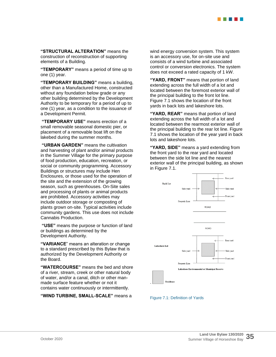

**"STRUCTURAL ALTERATION"** means the construction of reconstruction of supporting elements of a Building.

**"TEMPORARY"** means a period of time up to one (1) year.

**"TEMPORARY BUILDING"** means a building, other than a Manufactured Home, constructed without any foundation below grade or any other building determined by the Development Authority to be temporary for a period of up to one (1) year, as a condition to the issuance of a Development Permit.

**"TEMPORARY USE"** means erection of a small removable seasonal domestic pier, or placement of a removable boat lift on the lakebed during the summer months.

**"URBAN GARDEN"** means the cultivation and harvesting of plant and/or animal products in the Summer Village for the primary purpose of food production, education, recreation, or social or community programming. Accessory Buildings or structures may include Hen Enclosures, or those used for the operation of the site and the extension of the growing season, such as greenhouses. On-Site sales and processing of plants or animal products are prohibited. Accessory activities may include outdoor storage or composting of plants grown on-site. Typical activities include community gardens. This use does not include Cannabis Production.

**"USE"** means the purpose or function of land or buildings as determined by the Development Authority.

**"VARIANCE**" means an alteration or change to a standard prescribed by this Bylaw that is authorized by the Development Authority or the Board.

**"WATERCOURSE"** means the bed and shore of a river, stream, creek or other natural body of water, and/or a canal, ditch or other manmade surface feature whether or not it contains water continuously or intermittently.

**"WIND TURBINE, SMALL-SCALE"** means a

wind energy conversion system. This system is an accessory use, for on-site use and consists of a wind turbine and associated control or conversion electronics. The system does not exceed a rated capacity of 1 kW.

**"YARD, FRONT"** means that portion of land extending across the full width of a lot and located between the foremost exterior wall of the principal building to the front lot line. Figure 7.1 shows the location of the front yards in back lots and lakeshore lots.

**"YARD, REAR"** means that portion of land extending across the full width of a lot and located between the rearmost exterior wall of the principal building to the rear lot line. Figure 7.1 shows the location of the year yard in back lots and lakeshore lots.

**"YARD, SIDE"** means a yard extending from the front yard to the rear yard and located between the side lot line and the nearest exterior wall of the principal building, as shown in Figure 7.1.



Figure 7.1: Definition of Yards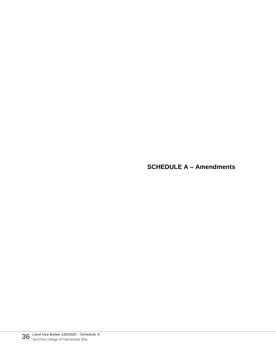**SCHEDULE A – Amendments**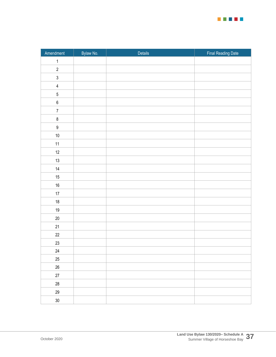

| Amendment               | Bylaw No. | Details | Final Reading Date |
|-------------------------|-----------|---------|--------------------|
| $\mathbf{1}$            |           |         |                    |
| $\sqrt{2}$              |           |         |                    |
| $\mathfrak{z}$          |           |         |                    |
| $\overline{\mathbf{4}}$ |           |         |                    |
| $\overline{5}$          |           |         |                    |
| $\,6\,$                 |           |         |                    |
| $\overline{7}$          |           |         |                    |
| $\,8\,$                 |           |         |                    |
| $\boldsymbol{9}$        |           |         |                    |
| $10\,$                  |           |         |                    |
| 11                      |           |         |                    |
| $12$                    |           |         |                    |
| $13\,$                  |           |         |                    |
| $14$                    |           |         |                    |
| $15\,$                  |           |         |                    |
| $16\,$                  |           |         |                    |
| $17\,$                  |           |         |                    |
| $18\,$                  |           |         |                    |
| $19$                    |           |         |                    |
| $20\,$                  |           |         |                    |
| 21                      |           |         |                    |
| $22\,$                  |           |         |                    |
| $23\,$                  |           |         |                    |
| 24                      |           |         |                    |
| $25\,$                  |           |         |                    |
| $26\,$                  |           |         |                    |
| $27\,$                  |           |         |                    |
| 28                      |           |         |                    |
| $29\,$                  |           |         |                    |
| $30\,$                  |           |         |                    |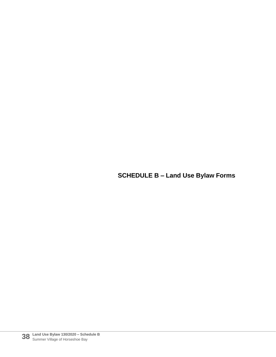## **SCHEDULE B – Land Use Bylaw Forms**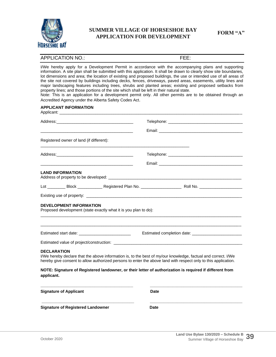

## **FORM "A" SUMMER VILLAGE OF HORSESHOE BAY APPLICATION FOR DEVELOPMENT**

## APPLICATION NO.: FEE:

I/We hereby apply for a Development Permit in accordance with the accompanying plans and supporting information. A site plan shall be submitted with this application. It shall be drawn to clearly show site boundaries, lot dimensions and area; the location of existing and proposed buildings, the use or intended use of all areas of the site not covered by buildings including decks, fences, driveways, paved areas, easements, utility lines and major landscaping features including trees, shrubs and planted areas; existing and proposed setbacks from property lines; and those portions of the site which shall be left in their natural state.

Note: This is an application for a development permit only. All other permits are to be obtained through an Accredited Agency under the Alberta Safety Codes Act.

#### **APPLICANT INFORMATION**

|                                                                                                   |  | Telephone: New York State State State State State State State State State State State State State State State State State State State State State State State State State State State State State State State State State Stat                                                                                                             |  |
|---------------------------------------------------------------------------------------------------|--|--------------------------------------------------------------------------------------------------------------------------------------------------------------------------------------------------------------------------------------------------------------------------------------------------------------------------------------------|--|
|                                                                                                   |  |                                                                                                                                                                                                                                                                                                                                            |  |
| Registered owner of land (if different):                                                          |  | <u> 1989 - Johann Barn, mars et al. (b. 1989)</u>                                                                                                                                                                                                                                                                                          |  |
|                                                                                                   |  |                                                                                                                                                                                                                                                                                                                                            |  |
|                                                                                                   |  |                                                                                                                                                                                                                                                                                                                                            |  |
| <b>LAND INFORMATION</b>                                                                           |  |                                                                                                                                                                                                                                                                                                                                            |  |
|                                                                                                   |  |                                                                                                                                                                                                                                                                                                                                            |  |
|                                                                                                   |  |                                                                                                                                                                                                                                                                                                                                            |  |
| <b>DEVELOPMENT INFORMATION</b><br>Proposed development (state exactly what it is you plan to do): |  |                                                                                                                                                                                                                                                                                                                                            |  |
|                                                                                                   |  |                                                                                                                                                                                                                                                                                                                                            |  |
|                                                                                                   |  |                                                                                                                                                                                                                                                                                                                                            |  |
| <b>DECLARATION</b>                                                                                |  | I/We hereby declare that the above information is, to the best of my/our knowledge, factual and correct. I/We<br>hereby give consent to allow authorized persons to enter the above land with respect only to this application.<br>NOTE: Signature of Registered landowner, or their letter of authorization is required if different from |  |
| applicant.                                                                                        |  |                                                                                                                                                                                                                                                                                                                                            |  |
| <b>Signature of Applicant</b>                                                                     |  | <b>Date</b>                                                                                                                                                                                                                                                                                                                                |  |
| <b>Signature of Registered Landowner</b>                                                          |  | <b>Date</b>                                                                                                                                                                                                                                                                                                                                |  |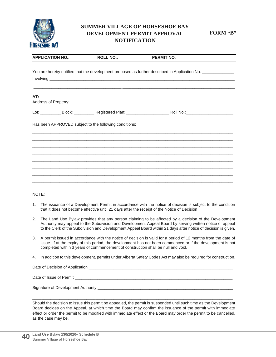

## **SUMMER VILLAGE OF HORSESHOE BAY DEVELOPMENT PERMIT APPROVAL NOTIFICATION**

**FORM "B"**

| <b>APPLICATION NO.:</b> | <b>ROLL NO.:</b>                                       | <b>PERMIT NO.</b>                                                                                              |  |
|-------------------------|--------------------------------------------------------|----------------------------------------------------------------------------------------------------------------|--|
|                         |                                                        | You are hereby notified that the development proposed as further described in Application No. _______________  |  |
|                         |                                                        |                                                                                                                |  |
| AT:                     |                                                        |                                                                                                                |  |
|                         |                                                        | Lot: ____________ Block: ____________ Registered Plan: _________________________ Roll No.:____________________ |  |
|                         | Has been APPROVED subject to the following conditions: |                                                                                                                |  |
|                         |                                                        | ,我们也不能会在这里,我们的人们就会不能会在这里,我们也不能会不能会不能会不能会不能会不能会不能会。""我们的人们,我们也不能会不能会不能会不能会不能会不能会不                               |  |
|                         |                                                        |                                                                                                                |  |
|                         |                                                        |                                                                                                                |  |
|                         |                                                        |                                                                                                                |  |

NOTE:

- 1. The issuance of a Development Permit in accordance with the notice of decision is subject to the condition that it does not become effective until 21 days after the receipt of the Notice of Decision
- 2. The Land Use Bylaw provides that any person claiming to be affected by a decision of the Development Authority may appeal to the Subdivision and Development Appeal Board by serving written notice of appeal to the Clerk of the Subdivision and Development Appeal Board within 21 days after notice of decision is given.
- 3. A permit issued in accordance with the notice of decision is valid for a period of 12 months from the date of issue. If at the expiry of this period, the development has not been commenced or if the development is not completed within 3 years of commencement of construction shall be null and void.
- 4. In addition to this development, permits under Alberta Safety Codes Act may also be required for construction.

| Date of Decision of Application |  |
|---------------------------------|--|
|                                 |  |

Date of Issue of Permit \_\_\_\_\_\_\_\_\_\_\_\_\_\_\_\_\_\_\_\_\_\_\_\_\_\_\_\_\_\_\_\_\_\_\_\_\_\_\_\_\_\_\_\_\_\_\_\_\_\_\_\_\_\_\_\_\_\_\_\_\_\_\_\_\_\_\_\_\_\_

Signature of Development Authority \_\_\_\_\_\_\_\_\_\_\_\_\_\_\_\_\_\_\_\_\_\_\_\_\_\_\_\_\_\_\_\_\_\_\_\_\_\_\_\_\_\_\_\_\_\_\_\_\_\_\_\_\_\_\_\_\_\_\_\_

Should the decision to issue this permit be appealed, the permit is suspended until such time as the Development Board decides on the Appeal, at which time the Board may confirm the issuance of the permit with immediate effect or order the permit to be modified with immediate effect or the Board may order the permit to be cancelled, as the case may be.

**\_\_\_\_\_\_\_\_\_\_\_\_\_\_\_\_\_\_\_\_\_\_\_\_\_\_\_\_\_\_\_\_\_\_\_\_\_\_\_\_\_\_\_\_\_\_\_\_\_\_\_\_\_\_\_\_\_\_\_\_\_\_\_\_\_\_\_\_\_\_\_\_\_\_\_\_\_\_\_\_\_\_\_\_\_\_\_\_\_**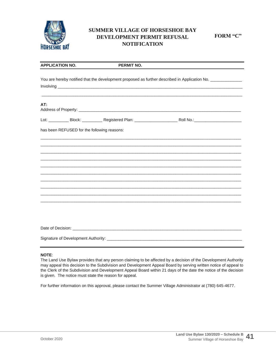

## **SUMMER VILLAGE OF HORSESHOE BAY DEVELOPMENT PERMIT REFUSAL NOTIFICATION**

**FORM "C"**

| <b>APPLICATION NO.</b> | <b>PERMIT NO.</b>                                                                                          |                                                                                                                       |  |
|------------------------|------------------------------------------------------------------------------------------------------------|-----------------------------------------------------------------------------------------------------------------------|--|
|                        | You are hereby notified that the development proposed as further described in Application No. ____________ |                                                                                                                       |  |
|                        |                                                                                                            |                                                                                                                       |  |
| AT:                    |                                                                                                            |                                                                                                                       |  |
|                        |                                                                                                            |                                                                                                                       |  |
|                        | has been REFUSED for the following reasons:                                                                |                                                                                                                       |  |
|                        |                                                                                                            | <u> 1989 - Johann Stoff, amerikansk politiker (* 1908)</u>                                                            |  |
|                        |                                                                                                            |                                                                                                                       |  |
|                        |                                                                                                            |                                                                                                                       |  |
|                        |                                                                                                            | <u> 1990 - Johann Stoff, deutscher Stoff, der Stoff, der Stoff, der Stoff, der Stoff, der Stoff, der Stoff, der S</u> |  |
|                        |                                                                                                            |                                                                                                                       |  |
|                        |                                                                                                            |                                                                                                                       |  |
|                        |                                                                                                            |                                                                                                                       |  |
|                        |                                                                                                            | ,我们也不会有什么。""我们的人,我们也不会有什么?""我们的人,我们也不会有什么?""我们的人,我们也不会有什么?""我们的人,我们也不会有什么?""我们的人                                      |  |
|                        |                                                                                                            |                                                                                                                       |  |
|                        |                                                                                                            |                                                                                                                       |  |
|                        |                                                                                                            |                                                                                                                       |  |
|                        |                                                                                                            |                                                                                                                       |  |

#### **NOTE**:

The Land Use Bylaw provides that any person claiming to be affected by a decision of the Development Authority may appeal this decision to the Subdivision and Development Appeal Board by serving written notice of appeal to the Clerk of the Subdivision and Development Appeal Board within 21 days of the date the notice of the decision is given. The notice must state the reason for appeal.

For further information on this approval, please contact the Summer Village Administrator at (780) 645-4677.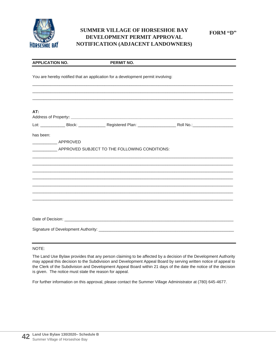

## **SUMMER VILLAGE OF HORSESHOE BAY DEVELOPMENT PERMIT APPROVAL NOTIFICATION (ADJACENT LANDOWNERS)**

| <b>APPLICATION NO.</b>                 | <b>PERMIT NO.</b>                                                               |                                                                                  |
|----------------------------------------|---------------------------------------------------------------------------------|----------------------------------------------------------------------------------|
|                                        | You are hereby notified that an application for a development permit involving: |                                                                                  |
| AT:                                    |                                                                                 | ,我们也不会有什么。""我们的人,我们也不会有什么?""我们的人,我们也不会有什么?""我们的人,我们也不会有什么?""我们的人,我们也不会有什么?""我们的人 |
|                                        |                                                                                 |                                                                                  |
| has been:<br>________________ APPROVED | APPROVED SUBJECT TO THE FOLLOWING CONDITIONS:                                   | ,我们也不能会在这里,我们的人们就会在这里,我们也不会在这里,我们也不会在这里,我们也不会在这里,我们也不会在这里,我们也不会在这里,我们也不会在这里,我们也不 |
|                                        |                                                                                 |                                                                                  |
|                                        |                                                                                 |                                                                                  |

## NOTE:

The Land Use Bylaw provides that any person claiming to be affected by a decision of the Development Authority may appeal this decision to the Subdivision and Development Appeal Board by serving written notice of appeal to the Clerk of the Subdivision and Development Appeal Board within 21 days of the date the notice of the decision is given. The notice must state the reason for appeal.

For further information on this approval, please contact the Summer Village Administrator at (780) 645-4677.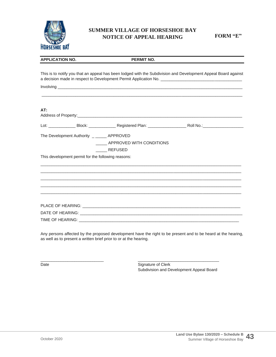

## **SUMMER VILLAGE OF HORSESHOE BAY NOTICE OF APPEAL HEARING**

**FORM "E"**

| <b>APPLICATION NO.</b>                             | <b>PERMIT NO.</b>                                                                                              |  |
|----------------------------------------------------|----------------------------------------------------------------------------------------------------------------|--|
|                                                    | This is to notify you that an appeal has been lodged with the Subdivision and Development Appeal Board against |  |
|                                                    |                                                                                                                |  |
| AT:                                                |                                                                                                                |  |
|                                                    |                                                                                                                |  |
|                                                    |                                                                                                                |  |
| The Development Authority ______ APPROVED          |                                                                                                                |  |
|                                                    | APPROVED WITH CONDITIONS                                                                                       |  |
|                                                    | ______ REFUSED                                                                                                 |  |
| This development permit for the following reasons: |                                                                                                                |  |
|                                                    |                                                                                                                |  |
|                                                    |                                                                                                                |  |
|                                                    |                                                                                                                |  |
|                                                    |                                                                                                                |  |
|                                                    |                                                                                                                |  |
|                                                    |                                                                                                                |  |

Any persons affected by the proposed development have the right to be present and to be heard at the hearing, as well as to present a written brief prior to or at the hearing.

 $\frac{1}{2}$  ,  $\frac{1}{2}$  ,  $\frac{1}{2}$  ,  $\frac{1}{2}$  ,  $\frac{1}{2}$  ,  $\frac{1}{2}$  ,  $\frac{1}{2}$  ,  $\frac{1}{2}$  ,  $\frac{1}{2}$  ,  $\frac{1}{2}$  ,  $\frac{1}{2}$  ,  $\frac{1}{2}$  ,  $\frac{1}{2}$  ,  $\frac{1}{2}$  ,  $\frac{1}{2}$  ,  $\frac{1}{2}$  ,  $\frac{1}{2}$  ,  $\frac{1}{2}$  ,  $\frac{1$ 

Date **Signature of Clerk** Subdivision and Development Appeal Board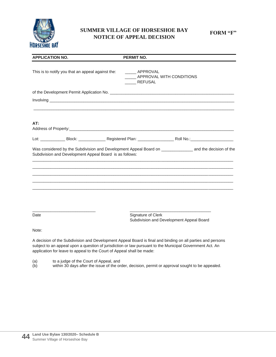

## **SUMMER VILLAGE OF HORSESHOE BAY NOTICE OF APPEAL DECISION**

**FORM "F"**

| <b>APPLICATION NO.</b>                                                | <b>PERMIT NO.</b>                                                                                                                                                                                                      |
|-----------------------------------------------------------------------|------------------------------------------------------------------------------------------------------------------------------------------------------------------------------------------------------------------------|
| This is to notify you that an appeal against the:                     | _____ APPROVAL<br>APPROVAL WITH CONDITIONS<br>REFUSAL                                                                                                                                                                  |
|                                                                       |                                                                                                                                                                                                                        |
|                                                                       |                                                                                                                                                                                                                        |
| AT:                                                                   |                                                                                                                                                                                                                        |
|                                                                       |                                                                                                                                                                                                                        |
| Subdivision and Development Appeal Board is as follows:               | Was considered by the Subdivision and Development Appeal Board on _______________ and the decision of the                                                                                                              |
| Date                                                                  | Signature of Clerk<br>Subdivision and Development Appeal Board                                                                                                                                                         |
| Note:                                                                 |                                                                                                                                                                                                                        |
| application for leave to appeal to the Court of Appeal shall be made: | A decision of the Subdivision and Development Appeal Board is final and binding on all parties and persons<br>subject to an appeal upon a question of jurisdiction or law pursuant to the Municipal Government Act. An |

(a) to a judge of the Court of Appeal, and

(b) within 30 days after the issue of the order, decision, permit or approval sought to be appealed.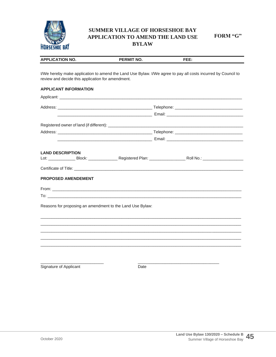

## **SUMMER VILLAGE OF HORSESHOE BAY** APPLICATION TO AMEND THE LAND USE **BYLAW**

FORM "G"

| <b>APPLICATION NO.</b>                                                                                                                                                                                                         | <b>PERMIT NO.</b> | FEE:                                                                                                         |
|--------------------------------------------------------------------------------------------------------------------------------------------------------------------------------------------------------------------------------|-------------------|--------------------------------------------------------------------------------------------------------------|
|                                                                                                                                                                                                                                |                   |                                                                                                              |
| review and decide this application for amendment.                                                                                                                                                                              |                   | I/We hereby make application to amend the Land Use Bylaw. I/We agree to pay all costs incurred by Council to |
| <b>APPLICANT INFORMATION</b>                                                                                                                                                                                                   |                   |                                                                                                              |
| Applicant: the contract of the contract of the contract of the contract of the contract of the contract of the contract of the contract of the contract of the contract of the contract of the contract of the contract of the |                   |                                                                                                              |
|                                                                                                                                                                                                                                |                   |                                                                                                              |
|                                                                                                                                                                                                                                |                   |                                                                                                              |
|                                                                                                                                                                                                                                |                   |                                                                                                              |
|                                                                                                                                                                                                                                |                   |                                                                                                              |
|                                                                                                                                                                                                                                |                   |                                                                                                              |
|                                                                                                                                                                                                                                |                   |                                                                                                              |
| <b>LAND DESCRIPTION</b>                                                                                                                                                                                                        |                   |                                                                                                              |
|                                                                                                                                                                                                                                |                   |                                                                                                              |
| PROPOSED AMENDEMENT                                                                                                                                                                                                            |                   |                                                                                                              |
|                                                                                                                                                                                                                                |                   |                                                                                                              |
|                                                                                                                                                                                                                                |                   |                                                                                                              |
| Reasons for proposing an amendment to the Land Use Bylaw:                                                                                                                                                                      |                   |                                                                                                              |
|                                                                                                                                                                                                                                |                   |                                                                                                              |
|                                                                                                                                                                                                                                |                   |                                                                                                              |
|                                                                                                                                                                                                                                |                   |                                                                                                              |
|                                                                                                                                                                                                                                |                   |                                                                                                              |
|                                                                                                                                                                                                                                |                   |                                                                                                              |
|                                                                                                                                                                                                                                |                   |                                                                                                              |
|                                                                                                                                                                                                                                |                   |                                                                                                              |
| Signature of Applicant                                                                                                                                                                                                         | Date              |                                                                                                              |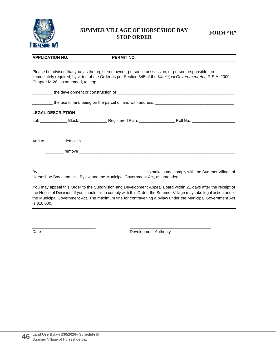

## **SUMMER VILLAGE OF HORSESHOE BAY STOP ORDER**

| <b>APPLICATION NO.</b>            | <b>PERMIT NO.</b>                                                                                                                                                                                                                                                                                                                                   |
|-----------------------------------|-----------------------------------------------------------------------------------------------------------------------------------------------------------------------------------------------------------------------------------------------------------------------------------------------------------------------------------------------------|
| Chapter M-26, as amended, to stop | Please be advised that you, as the registered owner, person in possession, or person responsible, are<br>immediately required, by virtue of the Order as per Section 645 of the Municipal Government Act, R.S.A. 2000,                                                                                                                              |
|                                   |                                                                                                                                                                                                                                                                                                                                                     |
|                                   |                                                                                                                                                                                                                                                                                                                                                     |
| <b>LEGAL DESCRIPTION</b>          |                                                                                                                                                                                                                                                                                                                                                     |
|                                   |                                                                                                                                                                                                                                                                                                                                                     |
|                                   |                                                                                                                                                                                                                                                                                                                                                     |
|                                   | Horseshoe Bay Land Use Bylaw and the Municipal Government Act, as amended.                                                                                                                                                                                                                                                                          |
|                                   | You may appeal this Order to the Subdivision and Development Appeal Board within 21 days after the receipt of<br>the Notice of Decision. If you should fail to comply with this Order, the Summer Village may take legal action under<br>the Municipal Government Act. The maximum fine for contravening a bylaw under the Municipal Government Act |

is \$10,000.

Date Date Development Authority

 $\frac{1}{2}$  ,  $\frac{1}{2}$  ,  $\frac{1}{2}$  ,  $\frac{1}{2}$  ,  $\frac{1}{2}$  ,  $\frac{1}{2}$  ,  $\frac{1}{2}$  ,  $\frac{1}{2}$  ,  $\frac{1}{2}$  ,  $\frac{1}{2}$  ,  $\frac{1}{2}$  ,  $\frac{1}{2}$  ,  $\frac{1}{2}$  ,  $\frac{1}{2}$  ,  $\frac{1}{2}$  ,  $\frac{1}{2}$  ,  $\frac{1}{2}$  ,  $\frac{1}{2}$  ,  $\frac{1$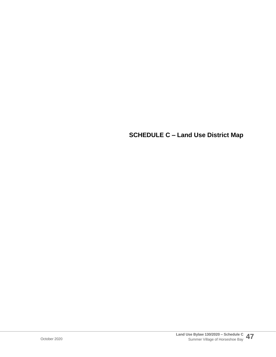**SCHEDULE C – Land Use District Map**